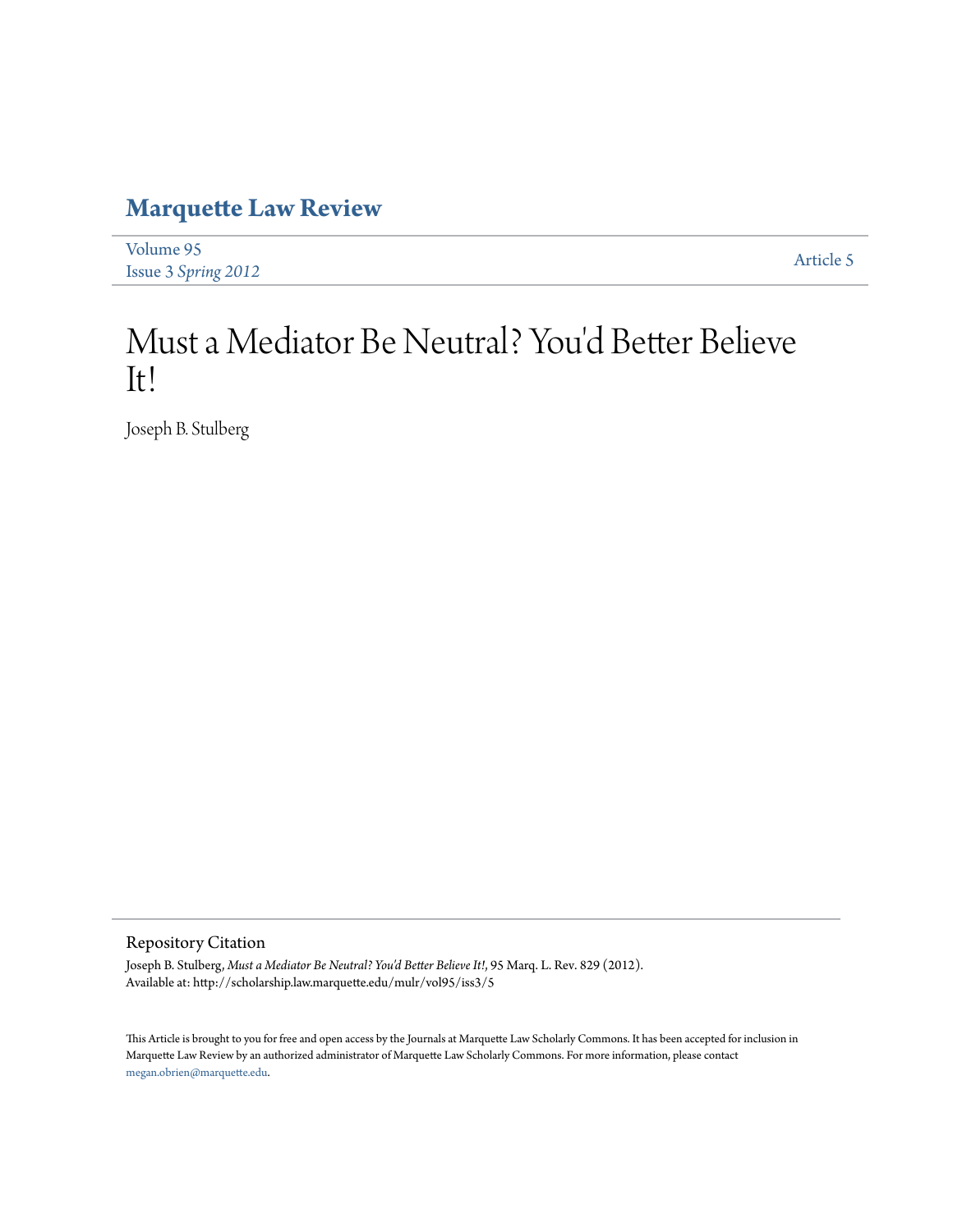# **[Marquette Law Review](http://scholarship.law.marquette.edu/mulr)**

| Volume 95                  | Article 5 |
|----------------------------|-----------|
| <b>Issue 3 Spring 2012</b> |           |

# Must a Mediator Be Neutral? You 'd Better Believe It!

Joseph B. Stulberg

Repository Citation

Joseph B. Stulberg, *Must a Mediator Be Neutral? You'd Better Believe It!*, 95 Marq. L. Rev. 829 (2012). Available at: http://scholarship.law.marquette.edu/mulr/vol95/iss3/5

This Article is brought to you for free and open access by the Journals at Marquette Law Scholarly Commons. It has been accepted for inclusion in Marquette Law Review by an authorized administrator of Marquette Law Scholarly Commons. For more information, please contact [megan.obrien@marquette.edu.](mailto:megan.obrien@marquette.edu)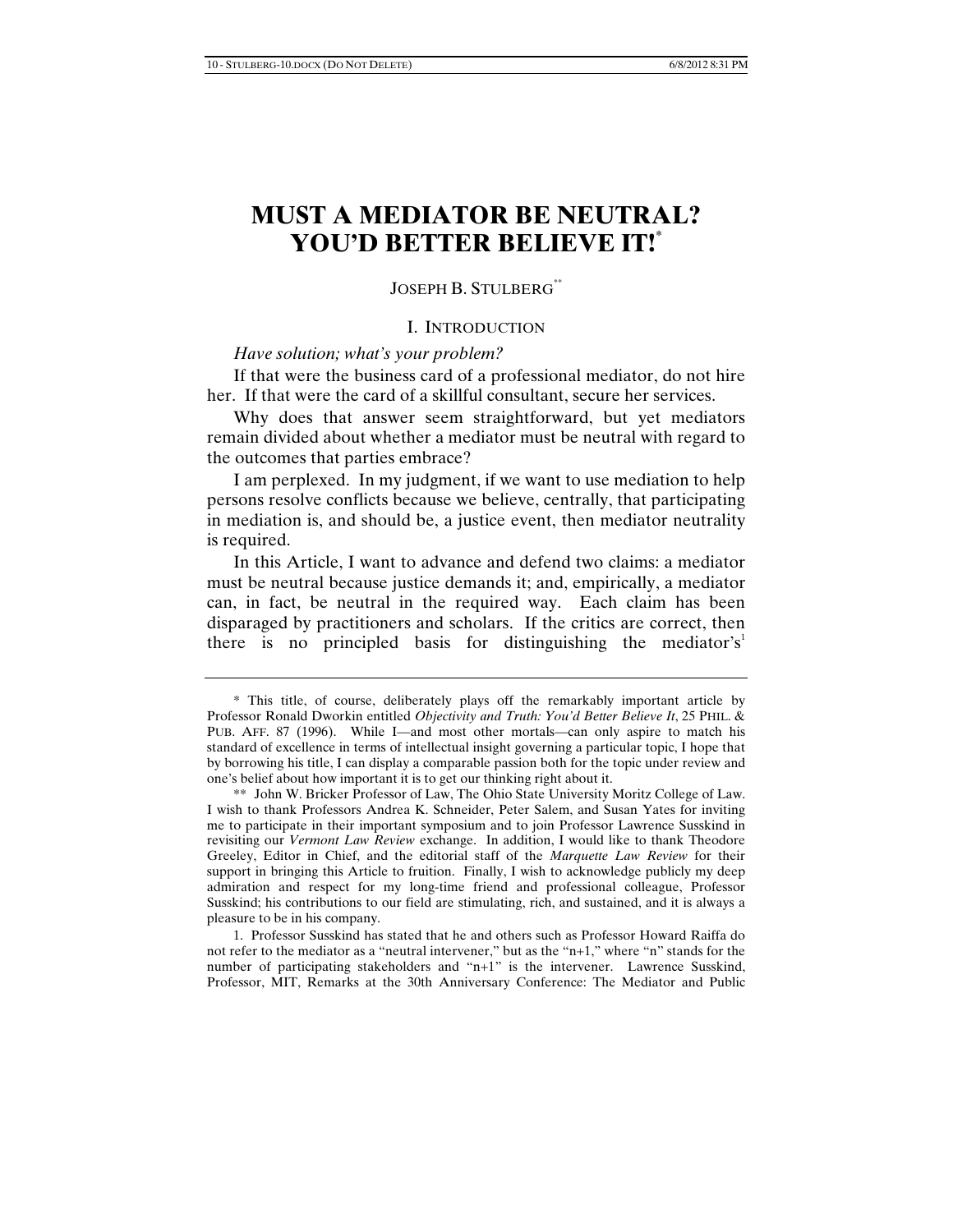## **MUST A MEDIATOR BE NEUTRAL? YOU'D BETTER BELIEVE IT!\***

### JOSEPH B. STULBERG\*\*

### I. INTRODUCTION

### *Have solution; what's your problem?*

If that were the business card of a professional mediator, do not hire her. If that were the card of a skillful consultant, secure her services.

Why does that answer seem straightforward, but yet mediators remain divided about whether a mediator must be neutral with regard to the outcomes that parties embrace?

I am perplexed. In my judgment, if we want to use mediation to help persons resolve conflicts because we believe, centrally, that participating in mediation is, and should be, a justice event, then mediator neutrality is required.

In this Article, I want to advance and defend two claims: a mediator must be neutral because justice demands it; and, empirically, a mediator can, in fact, be neutral in the required way. Each claim has been disparaged by practitioners and scholars. If the critics are correct, then there is no principled basis for distinguishing the mediator's<sup>1</sup>

1. Professor Susskind has stated that he and others such as Professor Howard Raiffa do not refer to the mediator as a "neutral intervener," but as the "n+1," where "n" stands for the number of participating stakeholders and "n+1" is the intervener. Lawrence Susskind, Professor, MIT, Remarks at the 30th Anniversary Conference: The Mediator and Public

<sup>\*</sup> This title, of course, deliberately plays off the remarkably important article by Professor Ronald Dworkin entitled *Objectivity and Truth: You'd Better Believe It*, 25 PHIL. & PUB. AFF. 87 (1996). While I—and most other mortals—can only aspire to match his standard of excellence in terms of intellectual insight governing a particular topic, I hope that by borrowing his title, I can display a comparable passion both for the topic under review and one's belief about how important it is to get our thinking right about it.

<sup>\*\*</sup> John W. Bricker Professor of Law, The Ohio State University Moritz College of Law. I wish to thank Professors Andrea K. Schneider, Peter Salem, and Susan Yates for inviting me to participate in their important symposium and to join Professor Lawrence Susskind in revisiting our *Vermont Law Review* exchange. In addition, I would like to thank Theodore Greeley, Editor in Chief, and the editorial staff of the *Marquette Law Review* for their support in bringing this Article to fruition. Finally, I wish to acknowledge publicly my deep admiration and respect for my long-time friend and professional colleague, Professor Susskind; his contributions to our field are stimulating, rich, and sustained, and it is always a pleasure to be in his company.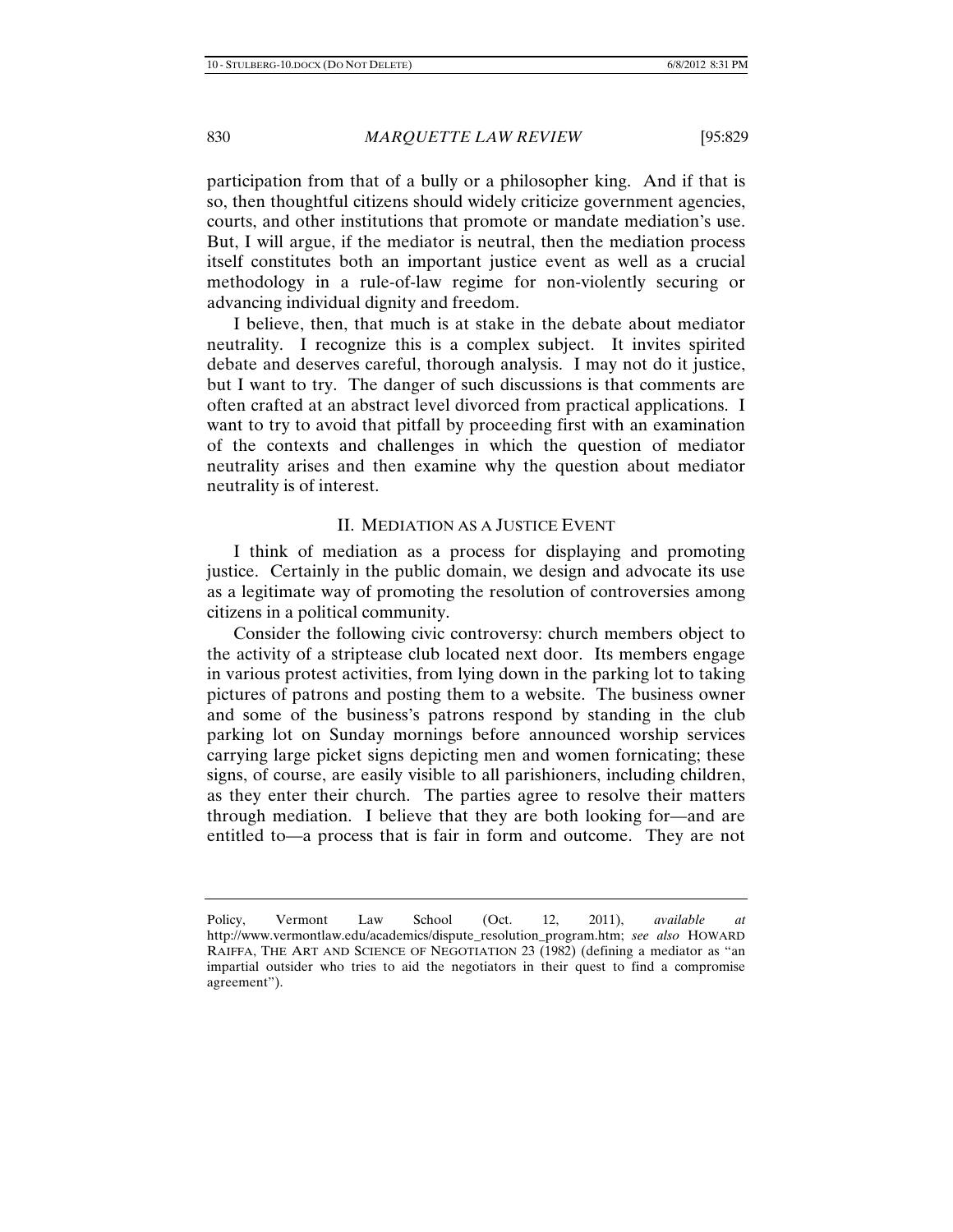participation from that of a bully or a philosopher king. And if that is so, then thoughtful citizens should widely criticize government agencies, courts, and other institutions that promote or mandate mediation's use. But, I will argue, if the mediator is neutral, then the mediation process itself constitutes both an important justice event as well as a crucial methodology in a rule-of-law regime for non-violently securing or advancing individual dignity and freedom.

I believe, then, that much is at stake in the debate about mediator neutrality. I recognize this is a complex subject. It invites spirited debate and deserves careful, thorough analysis. I may not do it justice, but I want to try. The danger of such discussions is that comments are often crafted at an abstract level divorced from practical applications. I want to try to avoid that pitfall by proceeding first with an examination of the contexts and challenges in which the question of mediator neutrality arises and then examine why the question about mediator neutrality is of interest.

### II. MEDIATION AS A JUSTICE EVENT

I think of mediation as a process for displaying and promoting justice. Certainly in the public domain, we design and advocate its use as a legitimate way of promoting the resolution of controversies among citizens in a political community.

Consider the following civic controversy: church members object to the activity of a striptease club located next door. Its members engage in various protest activities, from lying down in the parking lot to taking pictures of patrons and posting them to a website. The business owner and some of the business's patrons respond by standing in the club parking lot on Sunday mornings before announced worship services carrying large picket signs depicting men and women fornicating; these signs, of course, are easily visible to all parishioners, including children, as they enter their church. The parties agree to resolve their matters through mediation. I believe that they are both looking for—and are entitled to—a process that is fair in form and outcome. They are not

Policy, Vermont Law School (Oct. 12, 2011), *available at*  http://www.vermontlaw.edu/academics/dispute\_resolution\_program.htm; *see also* HOWARD RAIFFA, THE ART AND SCIENCE OF NEGOTIATION 23 (1982) (defining a mediator as "an impartial outsider who tries to aid the negotiators in their quest to find a compromise agreement").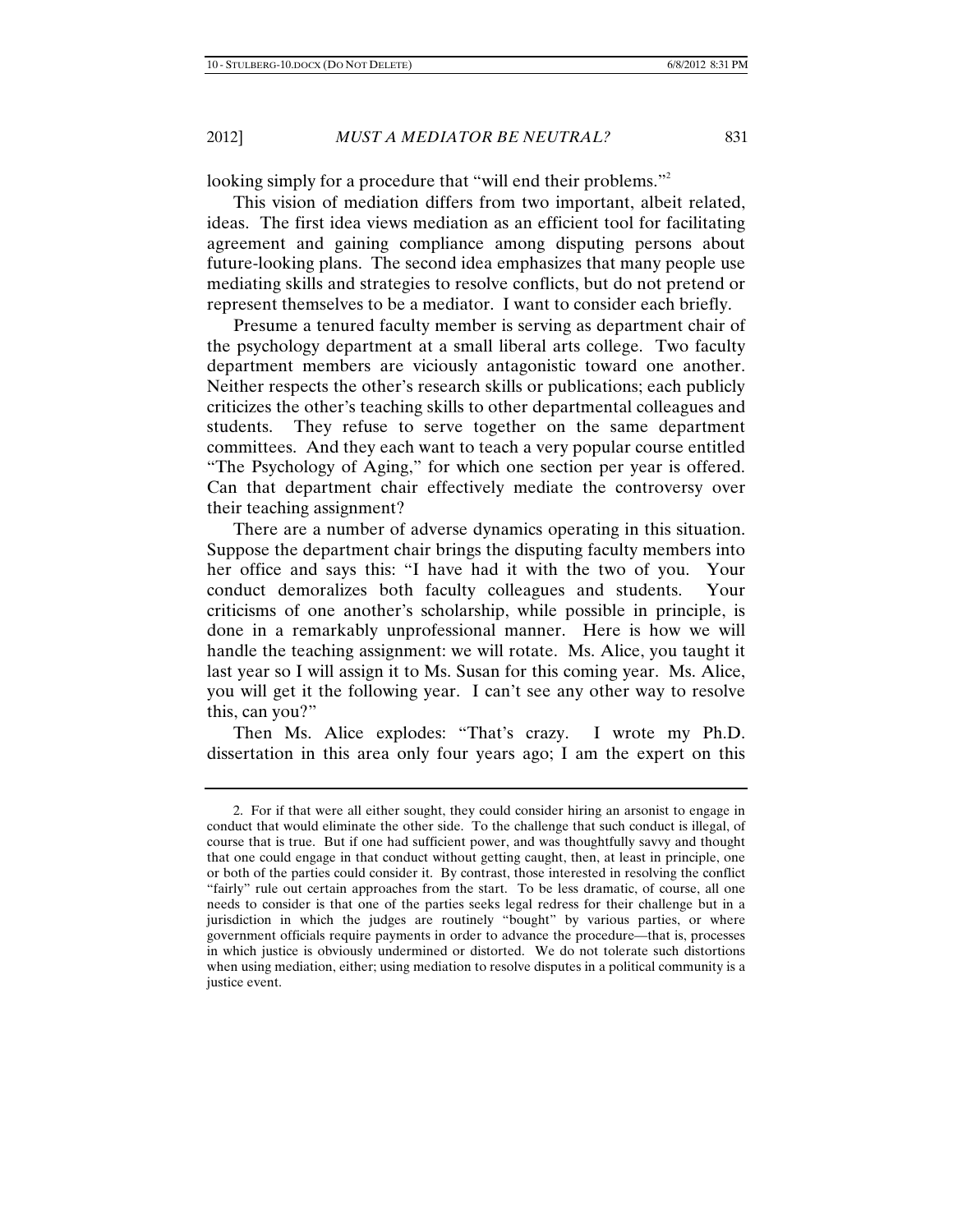looking simply for a procedure that "will end their problems."<sup>2</sup>

This vision of mediation differs from two important, albeit related, ideas. The first idea views mediation as an efficient tool for facilitating agreement and gaining compliance among disputing persons about future-looking plans. The second idea emphasizes that many people use mediating skills and strategies to resolve conflicts, but do not pretend or represent themselves to be a mediator. I want to consider each briefly.

Presume a tenured faculty member is serving as department chair of the psychology department at a small liberal arts college. Two faculty department members are viciously antagonistic toward one another. Neither respects the other's research skills or publications; each publicly criticizes the other's teaching skills to other departmental colleagues and students. They refuse to serve together on the same department committees. And they each want to teach a very popular course entitled "The Psychology of Aging," for which one section per year is offered. Can that department chair effectively mediate the controversy over their teaching assignment?

There are a number of adverse dynamics operating in this situation. Suppose the department chair brings the disputing faculty members into her office and says this: "I have had it with the two of you. Your conduct demoralizes both faculty colleagues and students. Your criticisms of one another's scholarship, while possible in principle, is done in a remarkably unprofessional manner. Here is how we will handle the teaching assignment: we will rotate. Ms. Alice, you taught it last year so I will assign it to Ms. Susan for this coming year. Ms. Alice, you will get it the following year. I can't see any other way to resolve this, can you?"

Then Ms. Alice explodes: "That's crazy. I wrote my Ph.D. dissertation in this area only four years ago; I am the expert on this

<sup>2.</sup> For if that were all either sought, they could consider hiring an arsonist to engage in conduct that would eliminate the other side. To the challenge that such conduct is illegal, of course that is true. But if one had sufficient power, and was thoughtfully savvy and thought that one could engage in that conduct without getting caught, then, at least in principle, one or both of the parties could consider it. By contrast, those interested in resolving the conflict "fairly" rule out certain approaches from the start. To be less dramatic, of course, all one needs to consider is that one of the parties seeks legal redress for their challenge but in a jurisdiction in which the judges are routinely "bought" by various parties, or where government officials require payments in order to advance the procedure—that is, processes in which justice is obviously undermined or distorted. We do not tolerate such distortions when using mediation, either; using mediation to resolve disputes in a political community is a justice event.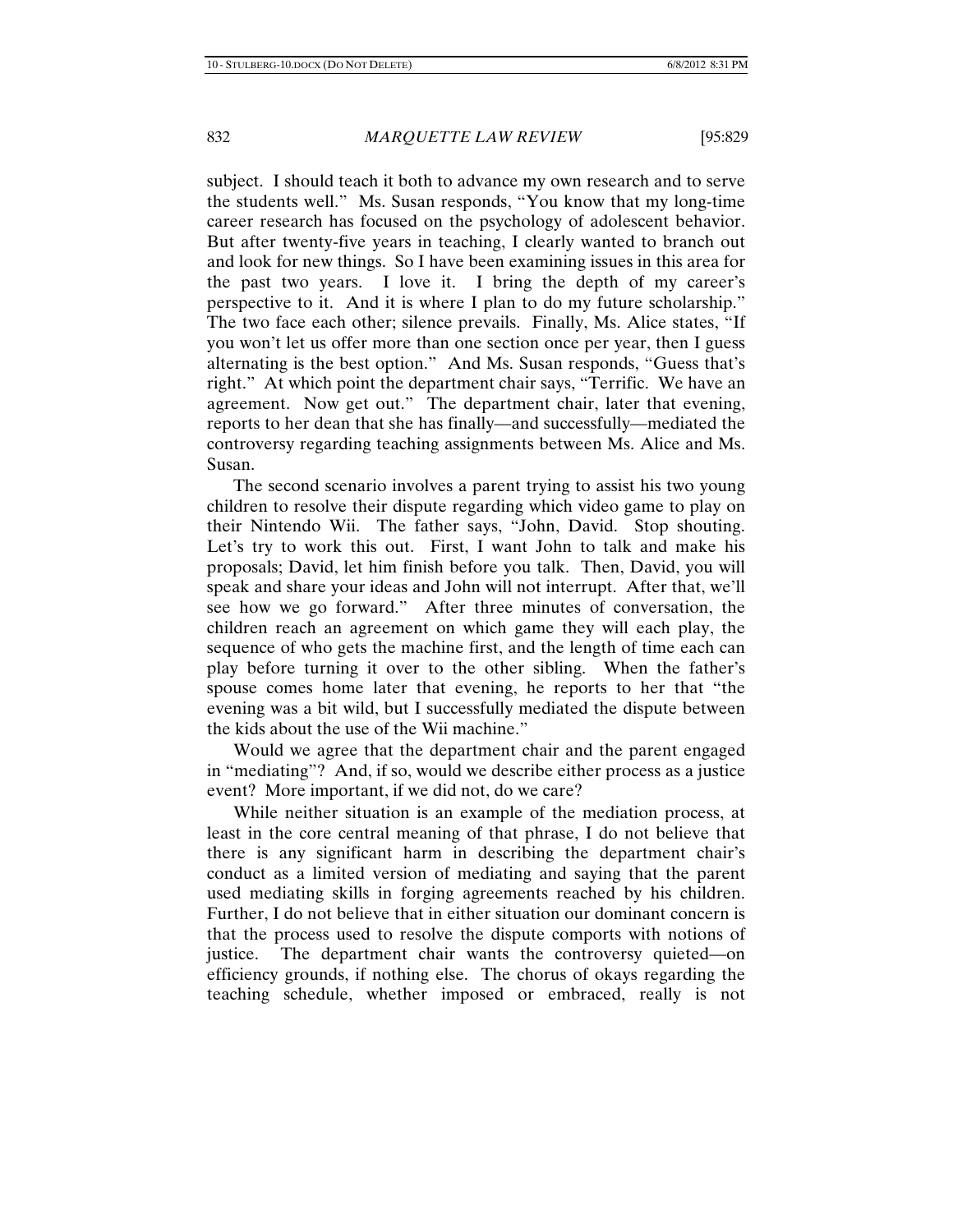subject. I should teach it both to advance my own research and to serve the students well." Ms. Susan responds, "You know that my long-time career research has focused on the psychology of adolescent behavior. But after twenty-five years in teaching, I clearly wanted to branch out and look for new things. So I have been examining issues in this area for the past two years. I love it. I bring the depth of my career's perspective to it. And it is where I plan to do my future scholarship." The two face each other; silence prevails. Finally, Ms. Alice states, "If you won't let us offer more than one section once per year, then I guess alternating is the best option." And Ms. Susan responds, "Guess that's right." At which point the department chair says, "Terrific. We have an agreement. Now get out." The department chair, later that evening, reports to her dean that she has finally—and successfully—mediated the controversy regarding teaching assignments between Ms. Alice and Ms. Susan.

The second scenario involves a parent trying to assist his two young children to resolve their dispute regarding which video game to play on their Nintendo Wii. The father says, "John, David. Stop shouting. Let's try to work this out. First, I want John to talk and make his proposals; David, let him finish before you talk. Then, David, you will speak and share your ideas and John will not interrupt. After that, we'll see how we go forward." After three minutes of conversation, the children reach an agreement on which game they will each play, the sequence of who gets the machine first, and the length of time each can play before turning it over to the other sibling. When the father's spouse comes home later that evening, he reports to her that "the evening was a bit wild, but I successfully mediated the dispute between the kids about the use of the Wii machine."

Would we agree that the department chair and the parent engaged in "mediating"? And, if so, would we describe either process as a justice event? More important, if we did not, do we care?

While neither situation is an example of the mediation process, at least in the core central meaning of that phrase, I do not believe that there is any significant harm in describing the department chair's conduct as a limited version of mediating and saying that the parent used mediating skills in forging agreements reached by his children. Further, I do not believe that in either situation our dominant concern is that the process used to resolve the dispute comports with notions of justice. The department chair wants the controversy quieted—on efficiency grounds, if nothing else. The chorus of okays regarding the teaching schedule, whether imposed or embraced, really is not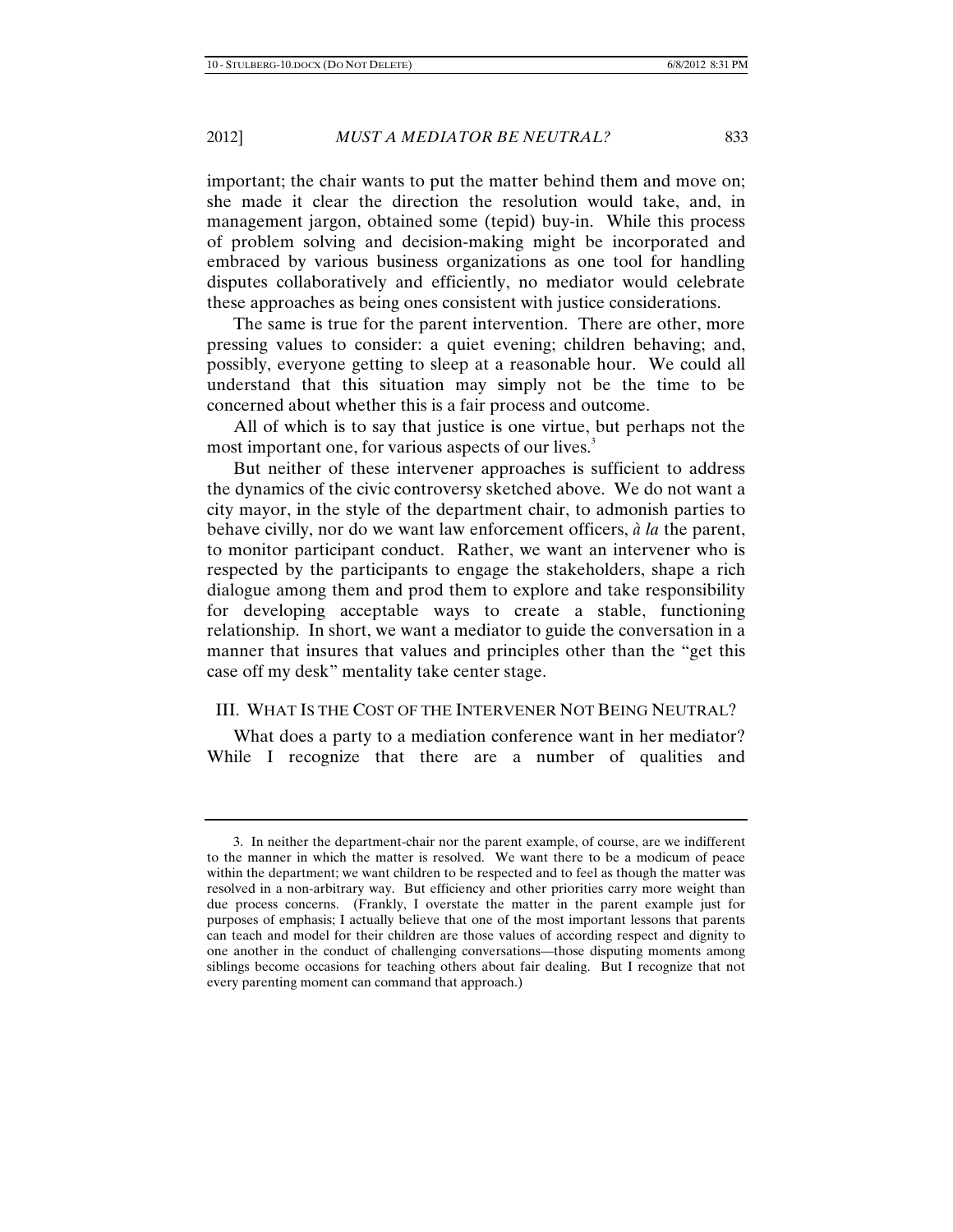important; the chair wants to put the matter behind them and move on; she made it clear the direction the resolution would take, and, in management jargon, obtained some (tepid) buy-in. While this process of problem solving and decision-making might be incorporated and embraced by various business organizations as one tool for handling disputes collaboratively and efficiently, no mediator would celebrate these approaches as being ones consistent with justice considerations.

The same is true for the parent intervention. There are other, more pressing values to consider: a quiet evening; children behaving; and, possibly, everyone getting to sleep at a reasonable hour. We could all understand that this situation may simply not be the time to be concerned about whether this is a fair process and outcome.

All of which is to say that justice is one virtue, but perhaps not the most important one, for various aspects of our lives.<sup>3</sup>

But neither of these intervener approaches is sufficient to address the dynamics of the civic controversy sketched above. We do not want a city mayor, in the style of the department chair, to admonish parties to behave civilly, nor do we want law enforcement officers, *à la* the parent, to monitor participant conduct. Rather, we want an intervener who is respected by the participants to engage the stakeholders, shape a rich dialogue among them and prod them to explore and take responsibility for developing acceptable ways to create a stable, functioning relationship. In short, we want a mediator to guide the conversation in a manner that insures that values and principles other than the "get this case off my desk" mentality take center stage.

### III. WHAT IS THE COST OF THE INTERVENER NOT BEING NEUTRAL?

What does a party to a mediation conference want in her mediator? While I recognize that there are a number of qualities and

<sup>3.</sup> In neither the department-chair nor the parent example, of course, are we indifferent to the manner in which the matter is resolved. We want there to be a modicum of peace within the department; we want children to be respected and to feel as though the matter was resolved in a non-arbitrary way. But efficiency and other priorities carry more weight than due process concerns. (Frankly, I overstate the matter in the parent example just for purposes of emphasis; I actually believe that one of the most important lessons that parents can teach and model for their children are those values of according respect and dignity to one another in the conduct of challenging conversations—those disputing moments among siblings become occasions for teaching others about fair dealing. But I recognize that not every parenting moment can command that approach.)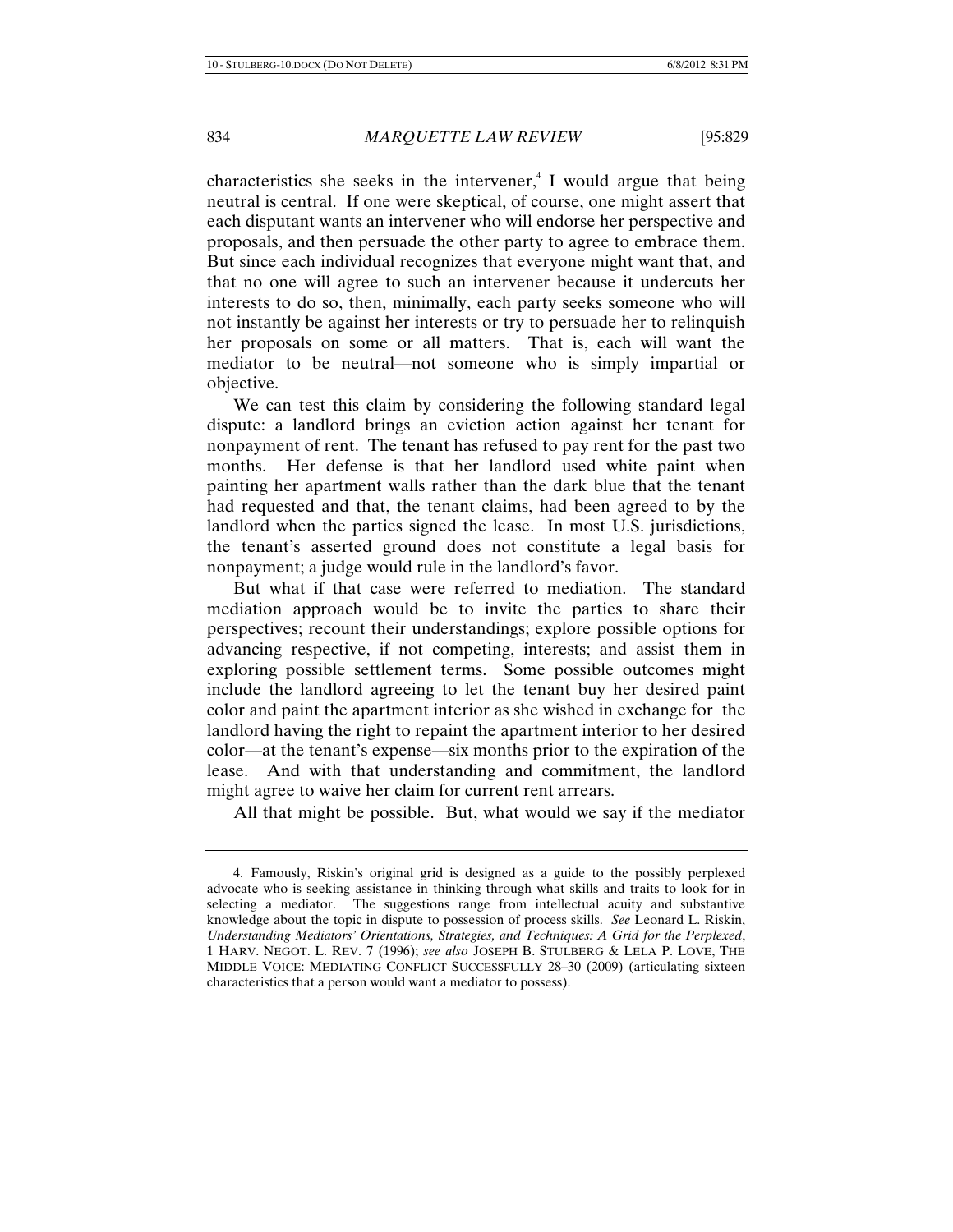characteristics she seeks in the intervener,<sup>4</sup> I would argue that being neutral is central. If one were skeptical, of course, one might assert that each disputant wants an intervener who will endorse her perspective and proposals, and then persuade the other party to agree to embrace them. But since each individual recognizes that everyone might want that, and that no one will agree to such an intervener because it undercuts her interests to do so, then, minimally, each party seeks someone who will not instantly be against her interests or try to persuade her to relinquish her proposals on some or all matters. That is, each will want the mediator to be neutral—not someone who is simply impartial or objective.

We can test this claim by considering the following standard legal dispute: a landlord brings an eviction action against her tenant for nonpayment of rent. The tenant has refused to pay rent for the past two months. Her defense is that her landlord used white paint when painting her apartment walls rather than the dark blue that the tenant had requested and that, the tenant claims, had been agreed to by the landlord when the parties signed the lease. In most U.S. jurisdictions, the tenant's asserted ground does not constitute a legal basis for nonpayment; a judge would rule in the landlord's favor.

But what if that case were referred to mediation. The standard mediation approach would be to invite the parties to share their perspectives; recount their understandings; explore possible options for advancing respective, if not competing, interests; and assist them in exploring possible settlement terms. Some possible outcomes might include the landlord agreeing to let the tenant buy her desired paint color and paint the apartment interior as she wished in exchange for the landlord having the right to repaint the apartment interior to her desired color—at the tenant's expense—six months prior to the expiration of the lease. And with that understanding and commitment, the landlord might agree to waive her claim for current rent arrears.

All that might be possible. But, what would we say if the mediator

<sup>4.</sup> Famously, Riskin's original grid is designed as a guide to the possibly perplexed advocate who is seeking assistance in thinking through what skills and traits to look for in selecting a mediator. The suggestions range from intellectual acuity and substantive knowledge about the topic in dispute to possession of process skills. *See* Leonard L. Riskin, *Understanding Mediators' Orientations, Strategies, and Techniques: A Grid for the Perplexed*, 1 HARV. NEGOT. L. REV. 7 (1996); *see also* JOSEPH B. STULBERG & LELA P. LOVE, THE MIDDLE VOICE: MEDIATING CONFLICT SUCCESSFULLY 28–30 (2009) (articulating sixteen characteristics that a person would want a mediator to possess).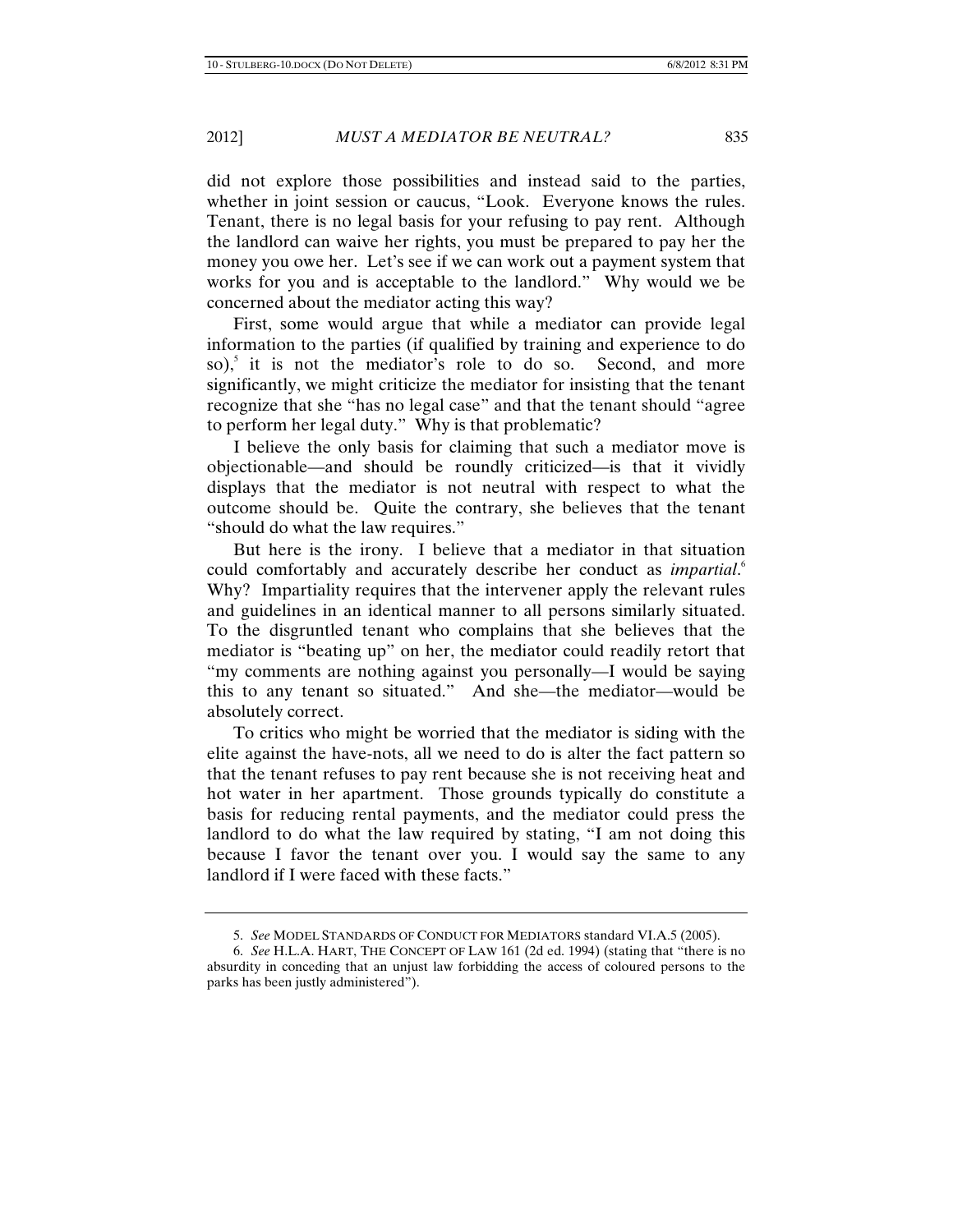did not explore those possibilities and instead said to the parties, whether in joint session or caucus, "Look. Everyone knows the rules. Tenant, there is no legal basis for your refusing to pay rent. Although the landlord can waive her rights, you must be prepared to pay her the money you owe her. Let's see if we can work out a payment system that works for you and is acceptable to the landlord." Why would we be concerned about the mediator acting this way?

First, some would argue that while a mediator can provide legal information to the parties (if qualified by training and experience to do so),<sup>5</sup> it is not the mediator's role to do so. Second, and more significantly, we might criticize the mediator for insisting that the tenant recognize that she "has no legal case" and that the tenant should "agree to perform her legal duty." Why is that problematic?

I believe the only basis for claiming that such a mediator move is objectionable—and should be roundly criticized—is that it vividly displays that the mediator is not neutral with respect to what the outcome should be. Quite the contrary, she believes that the tenant "should do what the law requires."

But here is the irony. I believe that a mediator in that situation could comfortably and accurately describe her conduct as *impartial*. 6 Why? Impartiality requires that the intervener apply the relevant rules and guidelines in an identical manner to all persons similarly situated. To the disgruntled tenant who complains that she believes that the mediator is "beating up" on her, the mediator could readily retort that "my comments are nothing against you personally—I would be saying this to any tenant so situated." And she—the mediator—would be absolutely correct.

To critics who might be worried that the mediator is siding with the elite against the have-nots, all we need to do is alter the fact pattern so that the tenant refuses to pay rent because she is not receiving heat and hot water in her apartment. Those grounds typically do constitute a basis for reducing rental payments, and the mediator could press the landlord to do what the law required by stating, "I am not doing this because I favor the tenant over you. I would say the same to any landlord if I were faced with these facts."

<sup>5.</sup> *See* MODEL STANDARDS OF CONDUCT FOR MEDIATORS standard VI.A.5 (2005).

<sup>6.</sup> *See* H.L.A. HART, THE CONCEPT OF LAW 161 (2d ed. 1994) (stating that "there is no absurdity in conceding that an unjust law forbidding the access of coloured persons to the parks has been justly administered").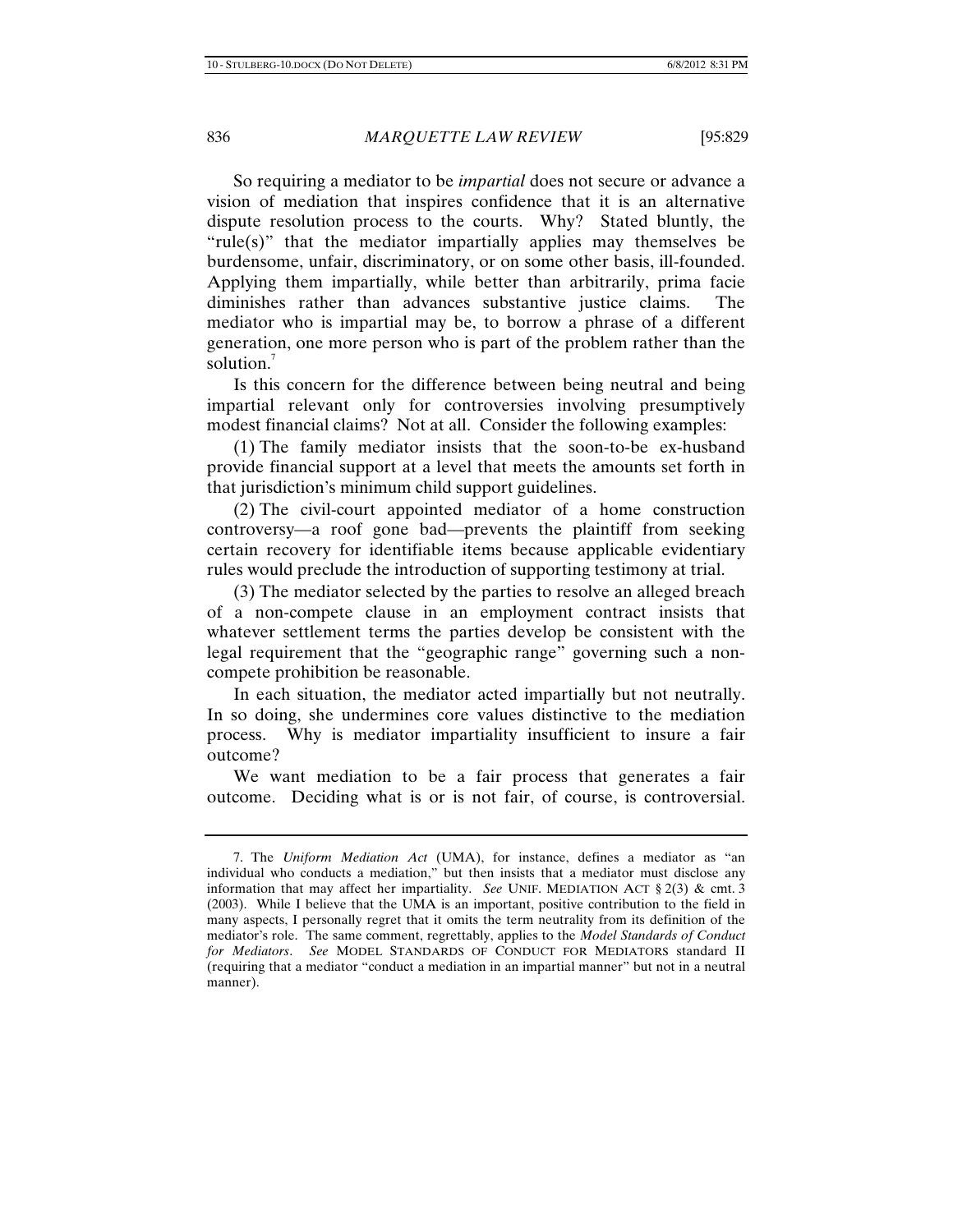So requiring a mediator to be *impartial* does not secure or advance a vision of mediation that inspires confidence that it is an alternative dispute resolution process to the courts. Why? Stated bluntly, the "rule(s)" that the mediator impartially applies may themselves be burdensome, unfair, discriminatory, or on some other basis, ill-founded. Applying them impartially, while better than arbitrarily, prima facie diminishes rather than advances substantive justice claims. The mediator who is impartial may be, to borrow a phrase of a different generation, one more person who is part of the problem rather than the solution.<sup>7</sup>

Is this concern for the difference between being neutral and being impartial relevant only for controversies involving presumptively modest financial claims? Not at all. Consider the following examples:

(1) The family mediator insists that the soon-to-be ex-husband provide financial support at a level that meets the amounts set forth in that jurisdiction's minimum child support guidelines.

(2) The civil-court appointed mediator of a home construction controversy—a roof gone bad—prevents the plaintiff from seeking certain recovery for identifiable items because applicable evidentiary rules would preclude the introduction of supporting testimony at trial.

(3) The mediator selected by the parties to resolve an alleged breach of a non-compete clause in an employment contract insists that whatever settlement terms the parties develop be consistent with the legal requirement that the "geographic range" governing such a noncompete prohibition be reasonable.

In each situation, the mediator acted impartially but not neutrally. In so doing, she undermines core values distinctive to the mediation process. Why is mediator impartiality insufficient to insure a fair outcome?

We want mediation to be a fair process that generates a fair outcome. Deciding what is or is not fair, of course, is controversial.

<sup>7.</sup> The *Uniform Mediation Act* (UMA), for instance, defines a mediator as "an individual who conducts a mediation," but then insists that a mediator must disclose any information that may affect her impartiality. *See* UNIF. MEDIATION ACT § 2(3) & cmt. 3 (2003). While I believe that the UMA is an important, positive contribution to the field in many aspects, I personally regret that it omits the term neutrality from its definition of the mediator's role. The same comment, regrettably, applies to the *Model Standards of Conduct for Mediators*. *See* MODEL STANDARDS OF CONDUCT FOR MEDIATORS standard II (requiring that a mediator "conduct a mediation in an impartial manner" but not in a neutral manner).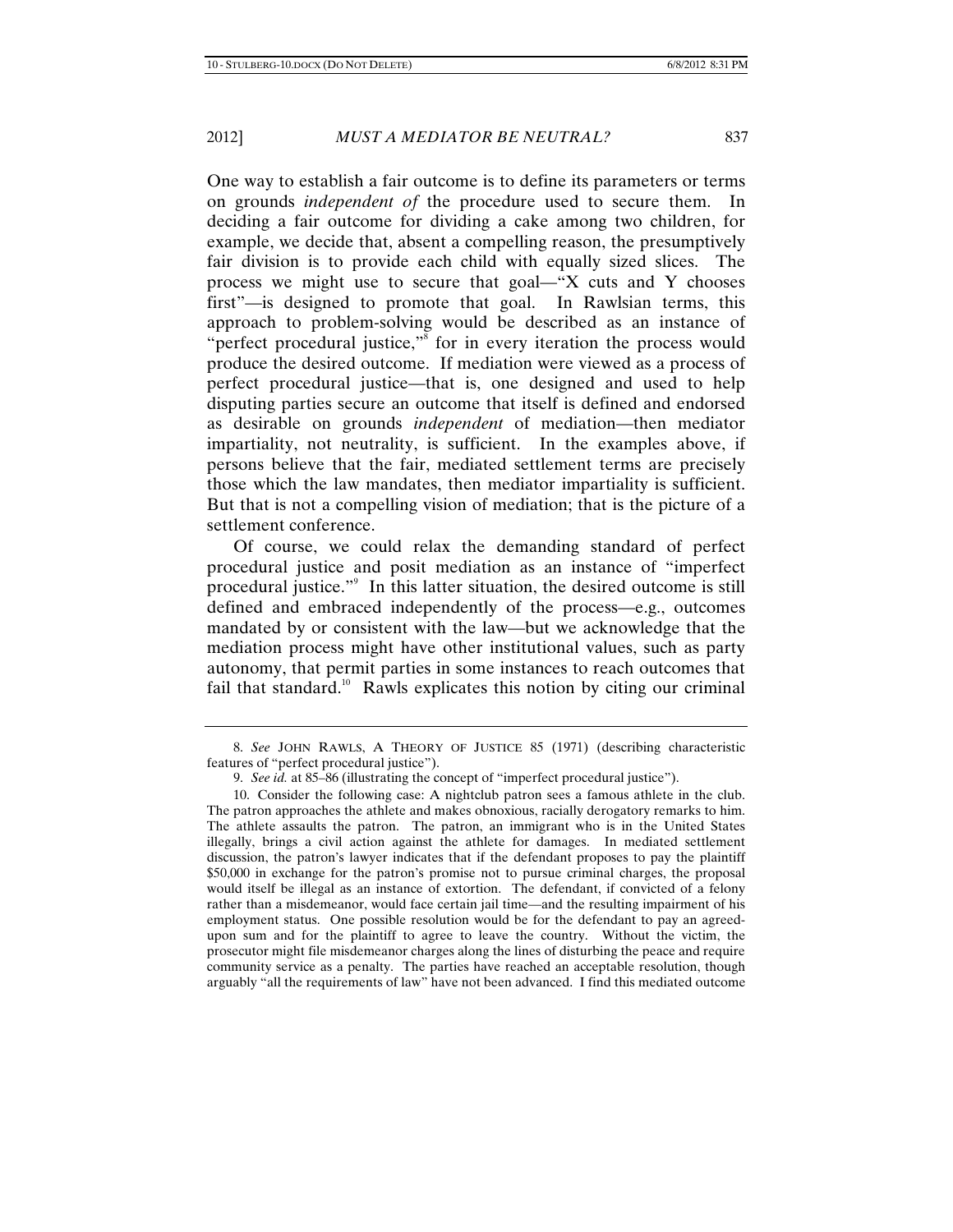One way to establish a fair outcome is to define its parameters or terms on grounds *independent of* the procedure used to secure them. In deciding a fair outcome for dividing a cake among two children, for example, we decide that, absent a compelling reason, the presumptively fair division is to provide each child with equally sized slices. The process we might use to secure that goal—"X cuts and Y chooses first"—is designed to promote that goal. In Rawlsian terms, this approach to problem-solving would be described as an instance of "perfect procedural justice,"<sup>8</sup> for in every iteration the process would produce the desired outcome. If mediation were viewed as a process of perfect procedural justice—that is, one designed and used to help disputing parties secure an outcome that itself is defined and endorsed as desirable on grounds *independent* of mediation—then mediator impartiality, not neutrality, is sufficient. In the examples above, if persons believe that the fair, mediated settlement terms are precisely those which the law mandates, then mediator impartiality is sufficient. But that is not a compelling vision of mediation; that is the picture of a settlement conference.

Of course, we could relax the demanding standard of perfect procedural justice and posit mediation as an instance of "imperfect procedural justice."<sup>9</sup> In this latter situation, the desired outcome is still defined and embraced independently of the process—e.g., outcomes mandated by or consistent with the law—but we acknowledge that the mediation process might have other institutional values, such as party autonomy, that permit parties in some instances to reach outcomes that fail that standard.<sup>10</sup> Rawls explicates this notion by citing our criminal

<sup>8.</sup> *See* JOHN RAWLS, A THEORY OF JUSTICE 85 (1971) (describing characteristic features of "perfect procedural justice").

<sup>9.</sup> *See id.* at 85–86 (illustrating the concept of "imperfect procedural justice").

<sup>10.</sup> Consider the following case: A nightclub patron sees a famous athlete in the club. The patron approaches the athlete and makes obnoxious, racially derogatory remarks to him. The athlete assaults the patron. The patron, an immigrant who is in the United States illegally, brings a civil action against the athlete for damages. In mediated settlement discussion, the patron's lawyer indicates that if the defendant proposes to pay the plaintiff \$50,000 in exchange for the patron's promise not to pursue criminal charges, the proposal would itself be illegal as an instance of extortion. The defendant, if convicted of a felony rather than a misdemeanor, would face certain jail time—and the resulting impairment of his employment status. One possible resolution would be for the defendant to pay an agreedupon sum and for the plaintiff to agree to leave the country. Without the victim, the prosecutor might file misdemeanor charges along the lines of disturbing the peace and require community service as a penalty. The parties have reached an acceptable resolution, though arguably "all the requirements of law" have not been advanced. I find this mediated outcome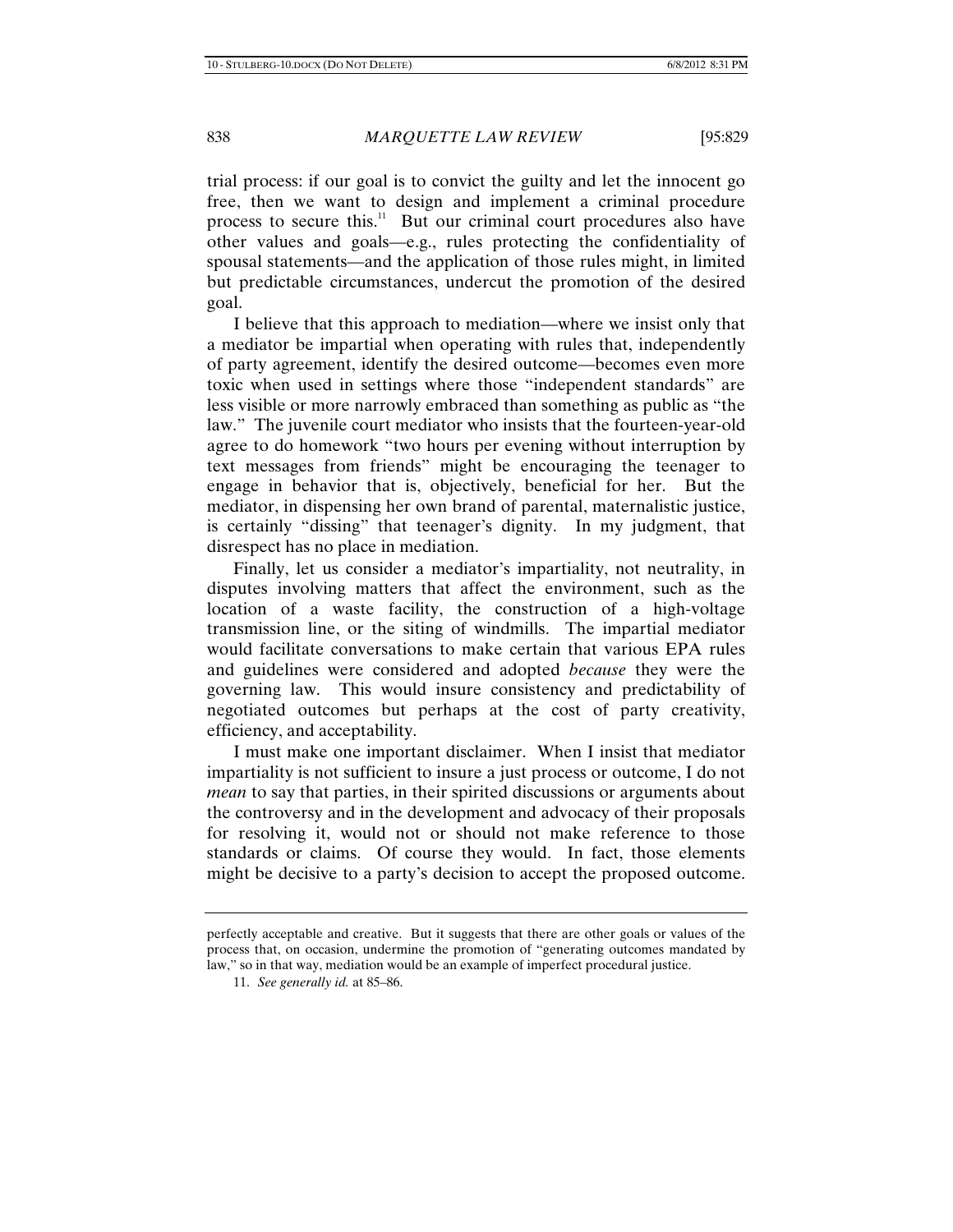trial process: if our goal is to convict the guilty and let the innocent go free, then we want to design and implement a criminal procedure process to secure this.<sup>11</sup> But our criminal court procedures also have other values and goals—e.g., rules protecting the confidentiality of spousal statements—and the application of those rules might, in limited but predictable circumstances, undercut the promotion of the desired goal.

I believe that this approach to mediation—where we insist only that a mediator be impartial when operating with rules that, independently of party agreement, identify the desired outcome—becomes even more toxic when used in settings where those "independent standards" are less visible or more narrowly embraced than something as public as "the law." The juvenile court mediator who insists that the fourteen-year-old agree to do homework "two hours per evening without interruption by text messages from friends" might be encouraging the teenager to engage in behavior that is, objectively, beneficial for her. But the mediator, in dispensing her own brand of parental, maternalistic justice, is certainly "dissing" that teenager's dignity. In my judgment, that disrespect has no place in mediation.

Finally, let us consider a mediator's impartiality, not neutrality, in disputes involving matters that affect the environment, such as the location of a waste facility, the construction of a high-voltage transmission line, or the siting of windmills. The impartial mediator would facilitate conversations to make certain that various EPA rules and guidelines were considered and adopted *because* they were the governing law. This would insure consistency and predictability of negotiated outcomes but perhaps at the cost of party creativity, efficiency, and acceptability.

I must make one important disclaimer. When I insist that mediator impartiality is not sufficient to insure a just process or outcome, I do not *mean* to say that parties, in their spirited discussions or arguments about the controversy and in the development and advocacy of their proposals for resolving it, would not or should not make reference to those standards or claims. Of course they would. In fact, those elements might be decisive to a party's decision to accept the proposed outcome.

perfectly acceptable and creative. But it suggests that there are other goals or values of the process that, on occasion, undermine the promotion of "generating outcomes mandated by law," so in that way, mediation would be an example of imperfect procedural justice.

<sup>11.</sup> *See generally id.* at 85–86.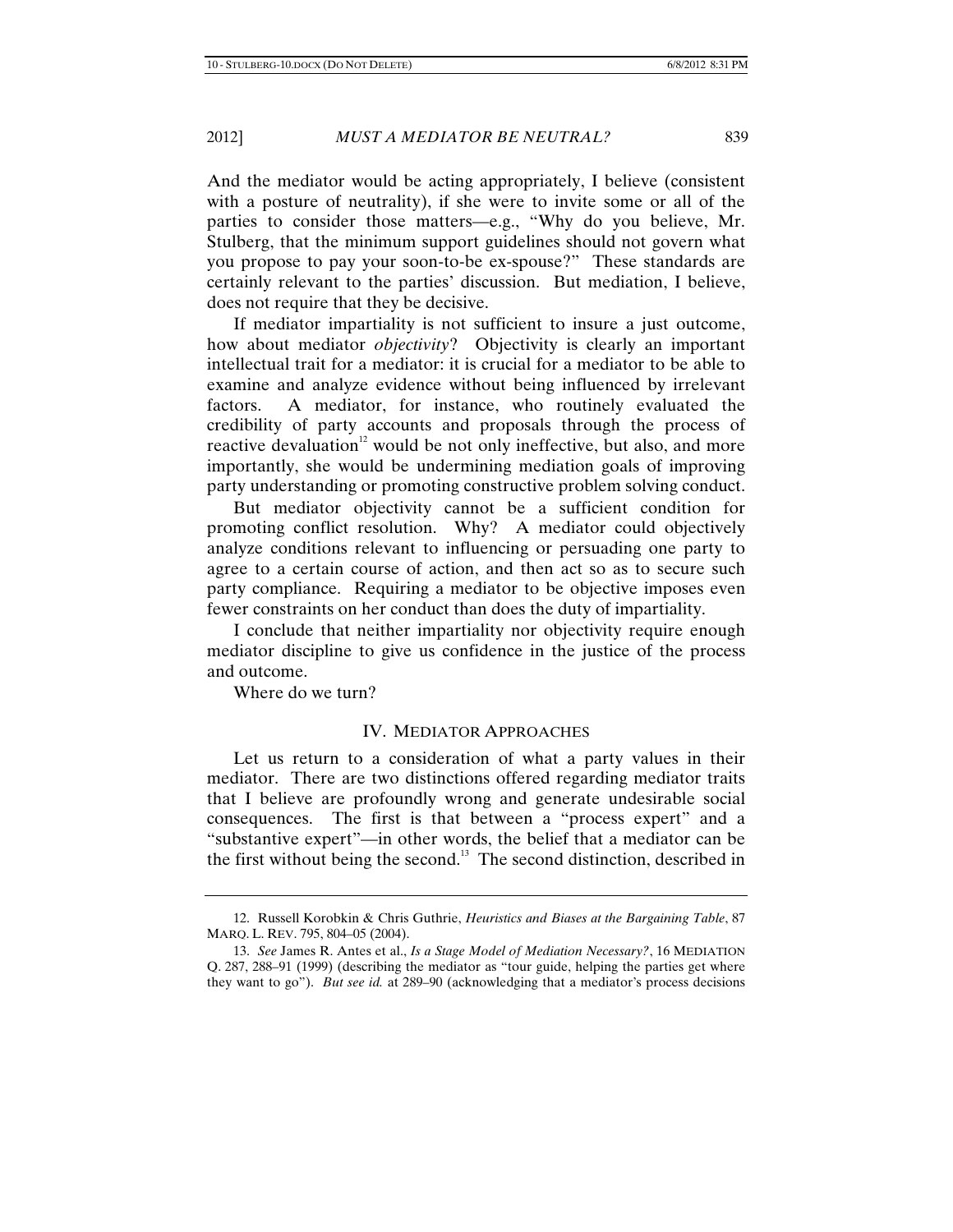And the mediator would be acting appropriately, I believe (consistent with a posture of neutrality), if she were to invite some or all of the parties to consider those matters—e.g., "Why do you believe, Mr. Stulberg, that the minimum support guidelines should not govern what you propose to pay your soon-to-be ex-spouse?" These standards are certainly relevant to the parties' discussion. But mediation, I believe, does not require that they be decisive.

If mediator impartiality is not sufficient to insure a just outcome, how about mediator *objectivity*? Objectivity is clearly an important intellectual trait for a mediator: it is crucial for a mediator to be able to examine and analyze evidence without being influenced by irrelevant factors. A mediator, for instance, who routinely evaluated the credibility of party accounts and proposals through the process of reactive devaluation<sup>12</sup> would be not only ineffective, but also, and more importantly, she would be undermining mediation goals of improving party understanding or promoting constructive problem solving conduct.

But mediator objectivity cannot be a sufficient condition for promoting conflict resolution. Why? A mediator could objectively analyze conditions relevant to influencing or persuading one party to agree to a certain course of action, and then act so as to secure such party compliance. Requiring a mediator to be objective imposes even fewer constraints on her conduct than does the duty of impartiality.

I conclude that neither impartiality nor objectivity require enough mediator discipline to give us confidence in the justice of the process and outcome.

Where do we turn?

### IV. MEDIATOR APPROACHES

Let us return to a consideration of what a party values in their mediator. There are two distinctions offered regarding mediator traits that I believe are profoundly wrong and generate undesirable social consequences. The first is that between a "process expert" and a "substantive expert"—in other words, the belief that a mediator can be the first without being the second.<sup>13</sup> The second distinction, described in

<sup>12.</sup> Russell Korobkin & Chris Guthrie, *Heuristics and Biases at the Bargaining Table*, 87 MARQ. L. REV. 795, 804–05 (2004).

<sup>13.</sup> *See* James R. Antes et al., *Is a Stage Model of Mediation Necessary?*, 16 MEDIATION Q. 287, 288–91 (1999) (describing the mediator as "tour guide, helping the parties get where they want to go"). *But see id.* at 289–90 (acknowledging that a mediator's process decisions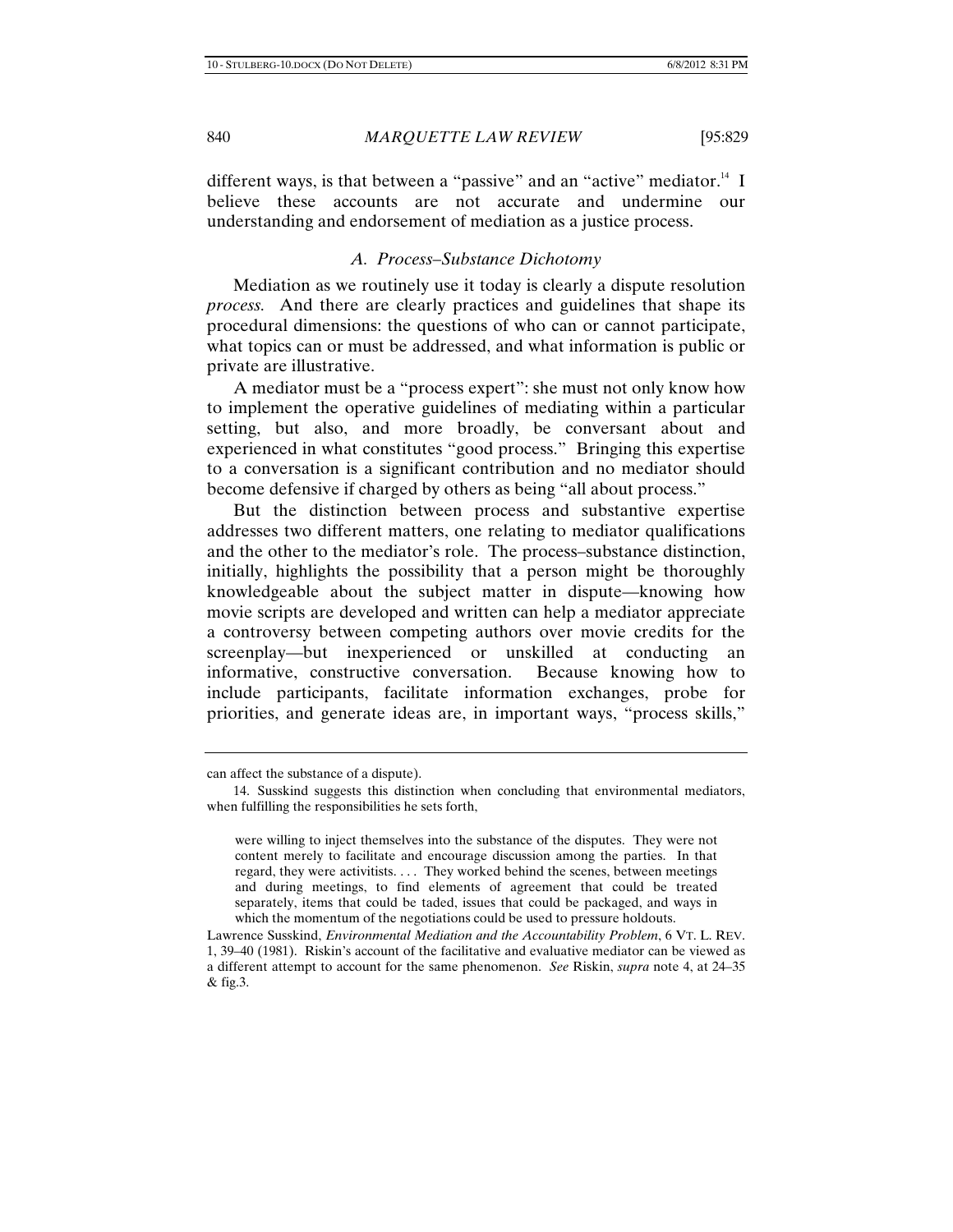different ways, is that between a "passive" and an "active" mediator.<sup>14</sup> I believe these accounts are not accurate and undermine our understanding and endorsement of mediation as a justice process.

### *A. Process–Substance Dichotomy*

Mediation as we routinely use it today is clearly a dispute resolution *process.* And there are clearly practices and guidelines that shape its procedural dimensions: the questions of who can or cannot participate, what topics can or must be addressed, and what information is public or private are illustrative.

A mediator must be a "process expert": she must not only know how to implement the operative guidelines of mediating within a particular setting, but also, and more broadly, be conversant about and experienced in what constitutes "good process." Bringing this expertise to a conversation is a significant contribution and no mediator should become defensive if charged by others as being "all about process."

But the distinction between process and substantive expertise addresses two different matters, one relating to mediator qualifications and the other to the mediator's role. The process–substance distinction, initially, highlights the possibility that a person might be thoroughly knowledgeable about the subject matter in dispute—knowing how movie scripts are developed and written can help a mediator appreciate a controversy between competing authors over movie credits for the screenplay—but inexperienced or unskilled at conducting an informative, constructive conversation. Because knowing how to include participants, facilitate information exchanges, probe for priorities, and generate ideas are, in important ways, "process skills,"

can affect the substance of a dispute).

<sup>14.</sup> Susskind suggests this distinction when concluding that environmental mediators, when fulfilling the responsibilities he sets forth,

were willing to inject themselves into the substance of the disputes. They were not content merely to facilitate and encourage discussion among the parties. In that regard, they were activitists. . . . They worked behind the scenes, between meetings and during meetings, to find elements of agreement that could be treated separately, items that could be taded, issues that could be packaged, and ways in which the momentum of the negotiations could be used to pressure holdouts.

Lawrence Susskind, *Environmental Mediation and the Accountability Problem*, 6 VT. L. REV. 1, 39–40 (1981). Riskin's account of the facilitative and evaluative mediator can be viewed as a different attempt to account for the same phenomenon. *See* Riskin, *supra* note 4, at 24–35 & fig.3.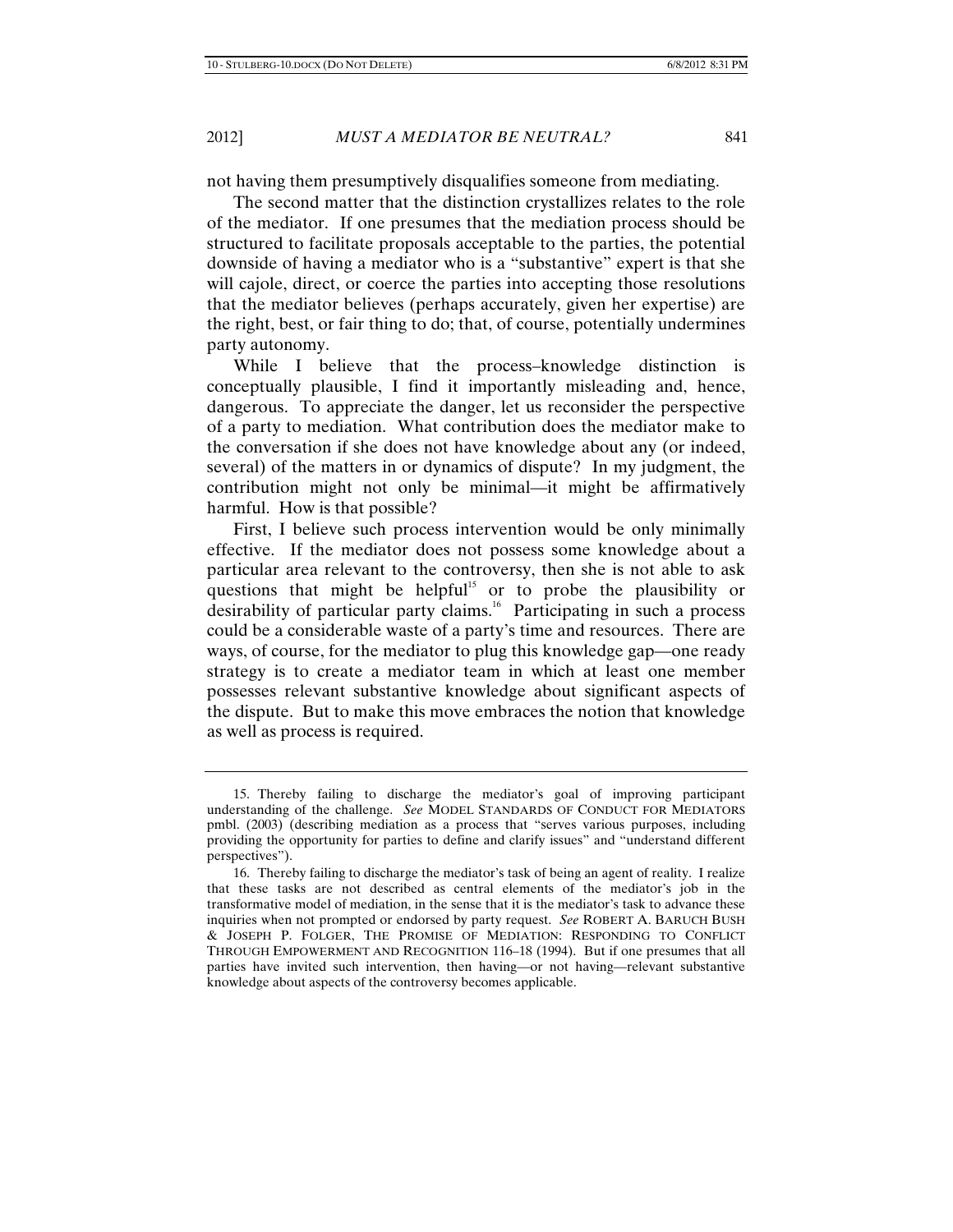not having them presumptively disqualifies someone from mediating.

The second matter that the distinction crystallizes relates to the role of the mediator. If one presumes that the mediation process should be structured to facilitate proposals acceptable to the parties, the potential downside of having a mediator who is a "substantive" expert is that she will cajole, direct, or coerce the parties into accepting those resolutions that the mediator believes (perhaps accurately, given her expertise) are the right, best, or fair thing to do; that, of course, potentially undermines party autonomy.

While I believe that the process–knowledge distinction is conceptually plausible, I find it importantly misleading and, hence, dangerous. To appreciate the danger, let us reconsider the perspective of a party to mediation. What contribution does the mediator make to the conversation if she does not have knowledge about any (or indeed, several) of the matters in or dynamics of dispute? In my judgment, the contribution might not only be minimal—it might be affirmatively harmful. How is that possible?

First, I believe such process intervention would be only minimally effective. If the mediator does not possess some knowledge about a particular area relevant to the controversy, then she is not able to ask questions that might be helpful<sup>15</sup> or to probe the plausibility or desirability of particular party claims.16 Participating in such a process could be a considerable waste of a party's time and resources. There are ways, of course, for the mediator to plug this knowledge gap—one ready strategy is to create a mediator team in which at least one member possesses relevant substantive knowledge about significant aspects of the dispute. But to make this move embraces the notion that knowledge as well as process is required.

<sup>15.</sup> Thereby failing to discharge the mediator's goal of improving participant understanding of the challenge. *See* MODEL STANDARDS OF CONDUCT FOR MEDIATORS pmbl. (2003) (describing mediation as a process that "serves various purposes, including providing the opportunity for parties to define and clarify issues" and "understand different perspectives").

<sup>16.</sup> Thereby failing to discharge the mediator's task of being an agent of reality. I realize that these tasks are not described as central elements of the mediator's job in the transformative model of mediation, in the sense that it is the mediator's task to advance these inquiries when not prompted or endorsed by party request. *See* ROBERT A. BARUCH BUSH & JOSEPH P. FOLGER, THE PROMISE OF MEDIATION: RESPONDING TO CONFLICT THROUGH EMPOWERMENT AND RECOGNITION 116–18 (1994). But if one presumes that all parties have invited such intervention, then having—or not having—relevant substantive knowledge about aspects of the controversy becomes applicable.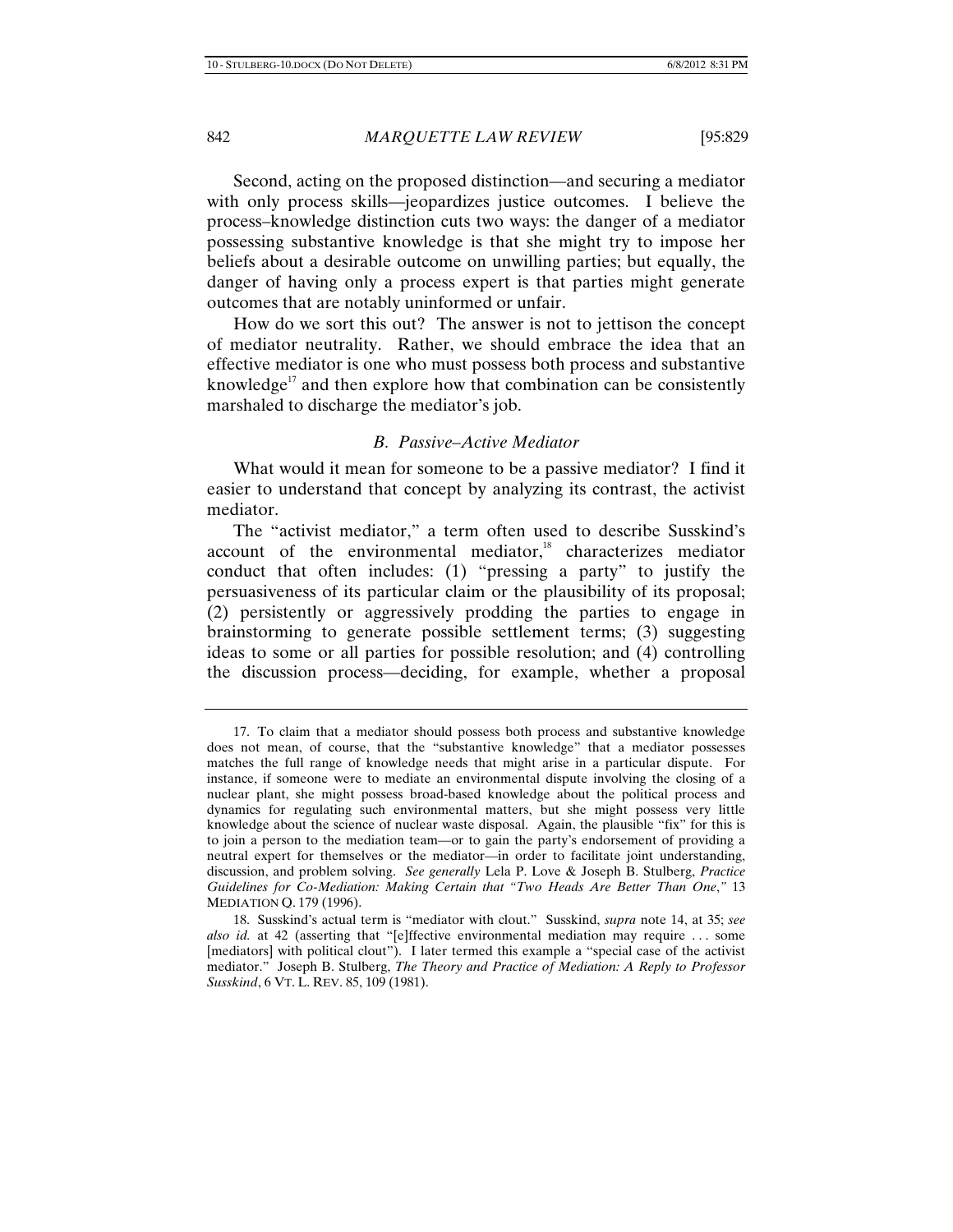Second, acting on the proposed distinction—and securing a mediator with only process skills—jeopardizes justice outcomes. I believe the process–knowledge distinction cuts two ways: the danger of a mediator possessing substantive knowledge is that she might try to impose her beliefs about a desirable outcome on unwilling parties; but equally, the danger of having only a process expert is that parties might generate outcomes that are notably uninformed or unfair.

How do we sort this out? The answer is not to jettison the concept of mediator neutrality. Rather, we should embrace the idea that an effective mediator is one who must possess both process and substantive knowledge<sup>17</sup> and then explore how that combination can be consistently marshaled to discharge the mediator's job.

### *B. Passive–Active Mediator*

What would it mean for someone to be a passive mediator? I find it easier to understand that concept by analyzing its contrast, the activist mediator.

The "activist mediator," a term often used to describe Susskind's account of the environmental mediator, $18$  characterizes mediator conduct that often includes: (1) "pressing a party" to justify the persuasiveness of its particular claim or the plausibility of its proposal; (2) persistently or aggressively prodding the parties to engage in brainstorming to generate possible settlement terms; (3) suggesting ideas to some or all parties for possible resolution; and (4) controlling the discussion process—deciding, for example, whether a proposal

<sup>17.</sup> To claim that a mediator should possess both process and substantive knowledge does not mean, of course, that the "substantive knowledge" that a mediator possesses matches the full range of knowledge needs that might arise in a particular dispute. For instance, if someone were to mediate an environmental dispute involving the closing of a nuclear plant, she might possess broad-based knowledge about the political process and dynamics for regulating such environmental matters, but she might possess very little knowledge about the science of nuclear waste disposal. Again, the plausible "fix" for this is to join a person to the mediation team—or to gain the party's endorsement of providing a neutral expert for themselves or the mediator—in order to facilitate joint understanding, discussion, and problem solving. *See generally* Lela P. Love & Joseph B. Stulberg, *Practice Guidelines for Co-Mediation: Making Certain that "Two Heads Are Better Than One*,*"* 13 MEDIATION Q. 179 (1996).

<sup>18.</sup> Susskind's actual term is "mediator with clout." Susskind, *supra* note 14, at 35; *see also id.* at 42 (asserting that "[e]ffective environmental mediation may require . . . some [mediators] with political clout"). I later termed this example a "special case of the activist mediator." Joseph B. Stulberg, *The Theory and Practice of Mediation: A Reply to Professor Susskind*, 6 VT. L. REV. 85, 109 (1981).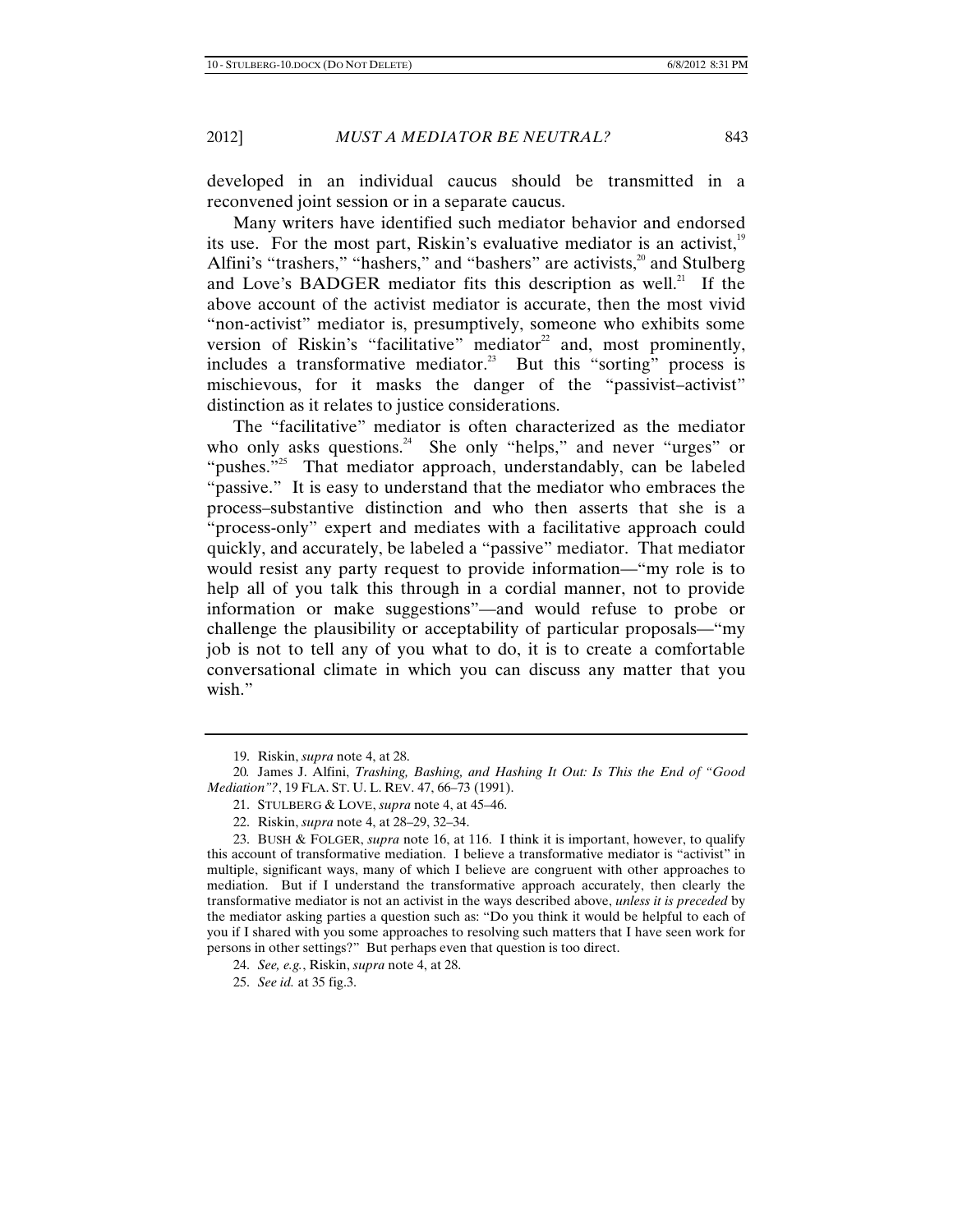developed in an individual caucus should be transmitted in a reconvened joint session or in a separate caucus.

Many writers have identified such mediator behavior and endorsed its use. For the most part, Riskin's evaluative mediator is an activist, $19$ Alfini's "trashers," "hashers," and "bashers" are activists,<sup>20</sup> and Stulberg and Love's BADGER mediator fits this description as well.<sup>21</sup> If the above account of the activist mediator is accurate, then the most vivid "non-activist" mediator is, presumptively, someone who exhibits some version of Riskin's "facilitative" mediator<sup>22</sup> and, most prominently, includes a transformative mediator.<sup>23</sup> But this "sorting" process is mischievous, for it masks the danger of the "passivist–activist" distinction as it relates to justice considerations.

The "facilitative" mediator is often characterized as the mediator who only asks questions.<sup>24</sup> She only "helps," and never "urges" or "pushes."<sup>25</sup> That mediator approach, understandably, can be labeled "passive." It is easy to understand that the mediator who embraces the process–substantive distinction and who then asserts that she is a "process-only" expert and mediates with a facilitative approach could quickly, and accurately, be labeled a "passive" mediator. That mediator would resist any party request to provide information—"my role is to help all of you talk this through in a cordial manner, not to provide information or make suggestions"—and would refuse to probe or challenge the plausibility or acceptability of particular proposals—"my job is not to tell any of you what to do, it is to create a comfortable conversational climate in which you can discuss any matter that you wish."

<sup>19.</sup> Riskin, *supra* note 4, at 28.

<sup>20</sup>*.* James J. Alfini, *Trashing, Bashing, and Hashing It Out: Is This the End of "Good Mediation"?*, 19 FLA. ST. U. L. REV. 47, 66–73 (1991).

<sup>21.</sup> STULBERG & LOVE, *supra* note 4, at 45–46.

<sup>22.</sup> Riskin, *supra* note 4, at 28–29, 32–34.

<sup>23.</sup> BUSH & FOLGER, *supra* note 16, at 116.I think it is important, however, to qualify this account of transformative mediation. I believe a transformative mediator is "activist" in multiple, significant ways, many of which I believe are congruent with other approaches to mediation. But if I understand the transformative approach accurately, then clearly the transformative mediator is not an activist in the ways described above, *unless it is preceded* by the mediator asking parties a question such as: "Do you think it would be helpful to each of you if I shared with you some approaches to resolving such matters that I have seen work for persons in other settings?" But perhaps even that question is too direct.

<sup>24.</sup> *See, e.g.*, Riskin, *supra* note 4, at 28.

<sup>25.</sup> *See id.* at 35 fig.3.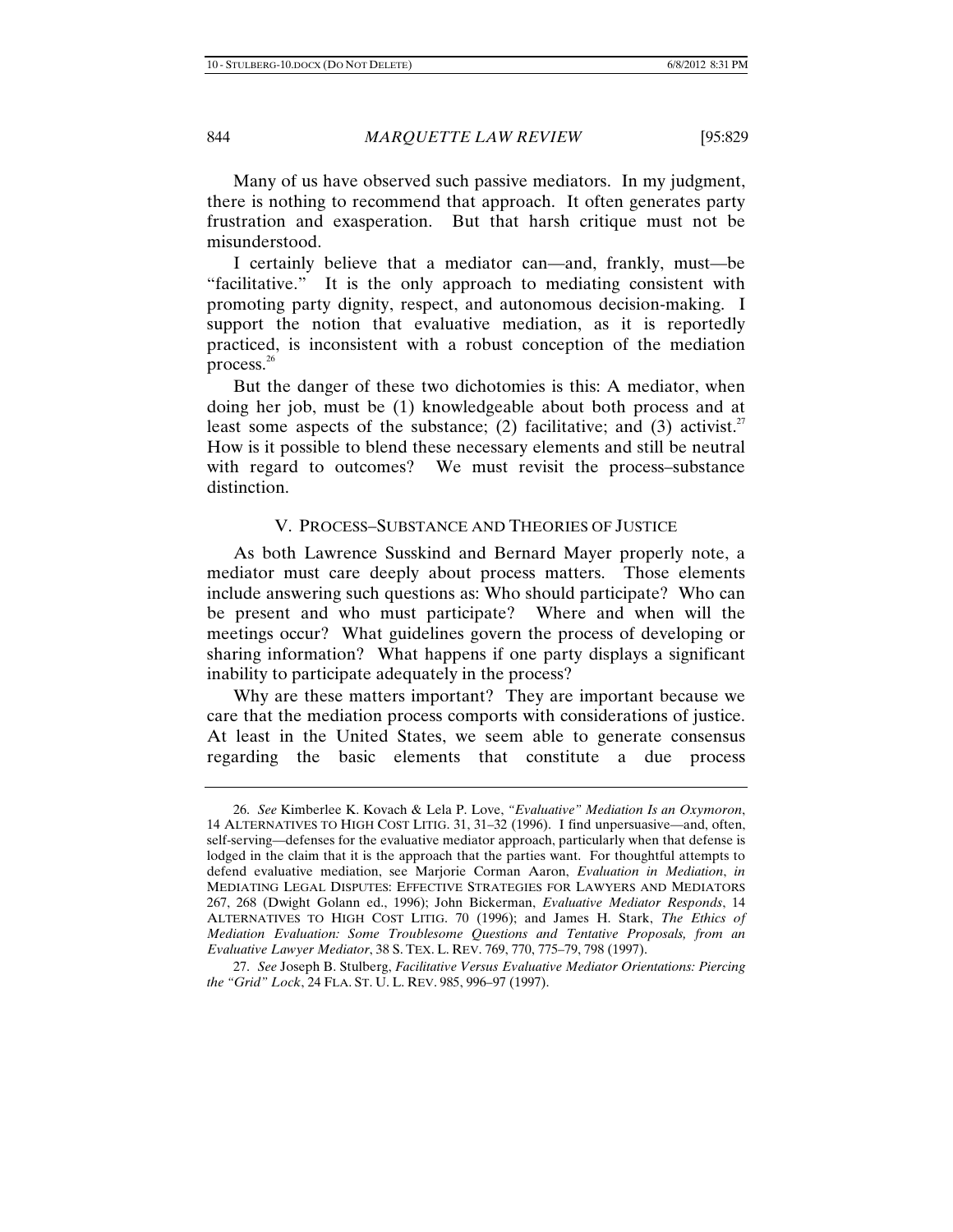Many of us have observed such passive mediators. In my judgment, there is nothing to recommend that approach. It often generates party frustration and exasperation. But that harsh critique must not be misunderstood.

I certainly believe that a mediator can—and, frankly, must—be "facilitative." It is the only approach to mediating consistent with promoting party dignity, respect, and autonomous decision-making. I support the notion that evaluative mediation, as it is reportedly practiced, is inconsistent with a robust conception of the mediation process. $26$ 

But the danger of these two dichotomies is this: A mediator, when doing her job, must be (1) knowledgeable about both process and at least some aspects of the substance; (2) facilitative; and (3) activist.<sup>27</sup> How is it possible to blend these necessary elements and still be neutral with regard to outcomes? We must revisit the process-substance distinction.

### V. PROCESS–SUBSTANCE AND THEORIES OF JUSTICE

As both Lawrence Susskind and Bernard Mayer properly note, a mediator must care deeply about process matters. Those elements include answering such questions as: Who should participate? Who can be present and who must participate? Where and when will the meetings occur? What guidelines govern the process of developing or sharing information? What happens if one party displays a significant inability to participate adequately in the process?

Why are these matters important? They are important because we care that the mediation process comports with considerations of justice. At least in the United States, we seem able to generate consensus regarding the basic elements that constitute a due process

<sup>26.</sup> *See* Kimberlee K. Kovach & Lela P. Love, *"Evaluative" Mediation Is an Oxymoron*, 14 ALTERNATIVES TO HIGH COST LITIG. 31, 31–32 (1996). I find unpersuasive—and, often, self-serving—defenses for the evaluative mediator approach, particularly when that defense is lodged in the claim that it is the approach that the parties want. For thoughtful attempts to defend evaluative mediation, see Marjorie Corman Aaron, *Evaluation in Mediation*, *in* MEDIATING LEGAL DISPUTES: EFFECTIVE STRATEGIES FOR LAWYERS AND MEDIATORS 267, 268 (Dwight Golann ed., 1996); John Bickerman, *Evaluative Mediator Responds*, 14 ALTERNATIVES TO HIGH COST LITIG. 70 (1996); and James H. Stark, *The Ethics of Mediation Evaluation: Some Troublesome Questions and Tentative Proposals, from an Evaluative Lawyer Mediator*, 38 S. TEX. L. REV. 769, 770, 775–79, 798 (1997).

<sup>27.</sup> *See* Joseph B. Stulberg, *Facilitative Versus Evaluative Mediator Orientations: Piercing the "Grid" Lock*, 24 FLA. ST. U. L. REV. 985, 996–97 (1997).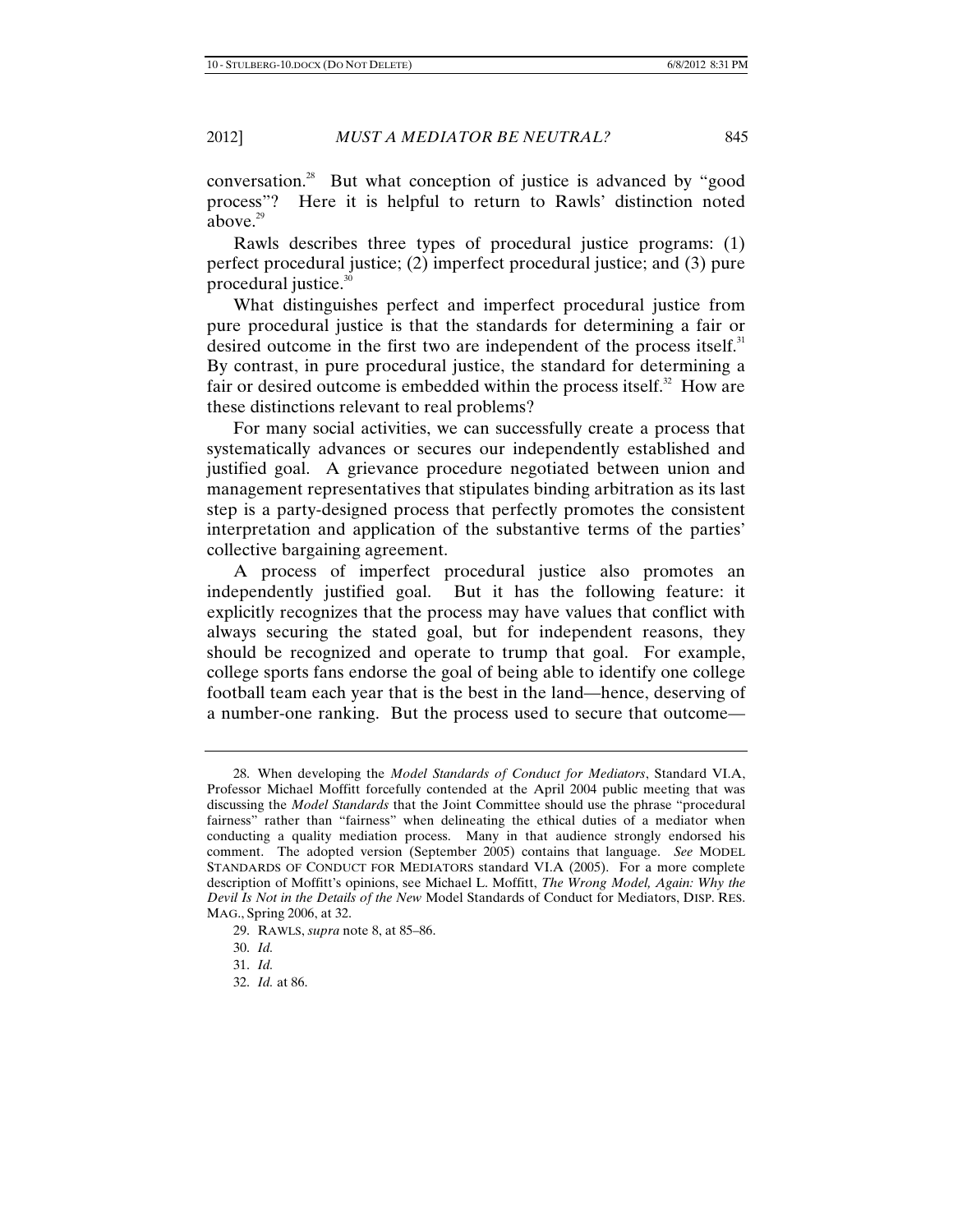conversation.28 But what conception of justice is advanced by "good process"? Here it is helpful to return to Rawls' distinction noted above. $29$ 

Rawls describes three types of procedural justice programs: (1) perfect procedural justice; (2) imperfect procedural justice; and (3) pure procedural justice.<sup>30</sup>

What distinguishes perfect and imperfect procedural justice from pure procedural justice is that the standards for determining a fair or desired outcome in the first two are independent of the process itself. $31$ By contrast, in pure procedural justice, the standard for determining a fair or desired outcome is embedded within the process itself.<sup>32</sup> How are these distinctions relevant to real problems?

For many social activities, we can successfully create a process that systematically advances or secures our independently established and justified goal. A grievance procedure negotiated between union and management representatives that stipulates binding arbitration as its last step is a party-designed process that perfectly promotes the consistent interpretation and application of the substantive terms of the parties' collective bargaining agreement.

A process of imperfect procedural justice also promotes an independently justified goal. But it has the following feature: it explicitly recognizes that the process may have values that conflict with always securing the stated goal, but for independent reasons, they should be recognized and operate to trump that goal. For example, college sports fans endorse the goal of being able to identify one college football team each year that is the best in the land—hence, deserving of a number-one ranking. But the process used to secure that outcome—

<sup>28.</sup> When developing the *Model Standards of Conduct for Mediators*, Standard VI.A, Professor Michael Moffitt forcefully contended at the April 2004 public meeting that was discussing the *Model Standards* that the Joint Committee should use the phrase "procedural fairness" rather than "fairness" when delineating the ethical duties of a mediator when conducting a quality mediation process. Many in that audience strongly endorsed his comment. The adopted version (September 2005) contains that language. *See* MODEL STANDARDS OF CONDUCT FOR MEDIATORS standard VI.A (2005). For a more complete description of Moffitt's opinions, see Michael L. Moffitt, *The Wrong Model, Again: Why the Devil Is Not in the Details of the New* Model Standards of Conduct for Mediators, DISP. RES. MAG., Spring 2006, at 32.

<sup>29.</sup> RAWLS, *supra* note 8, at 85–86.

<sup>30.</sup> *Id.*

<sup>31.</sup> *Id.*

<sup>32.</sup> *Id.* at 86.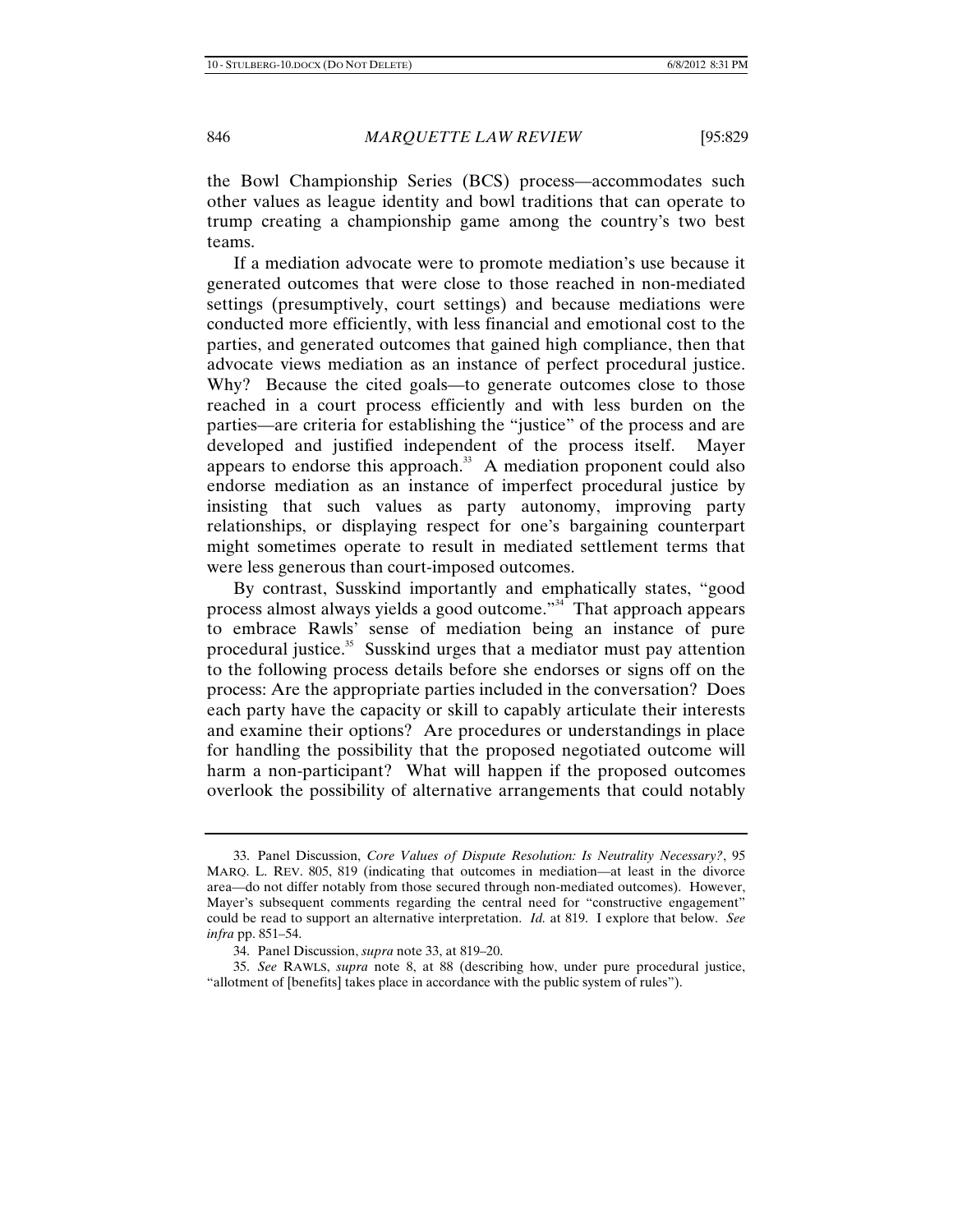the Bowl Championship Series (BCS) process—accommodates such other values as league identity and bowl traditions that can operate to trump creating a championship game among the country's two best teams.

If a mediation advocate were to promote mediation's use because it generated outcomes that were close to those reached in non-mediated settings (presumptively, court settings) and because mediations were conducted more efficiently, with less financial and emotional cost to the parties, and generated outcomes that gained high compliance, then that advocate views mediation as an instance of perfect procedural justice. Why? Because the cited goals—to generate outcomes close to those reached in a court process efficiently and with less burden on the parties—are criteria for establishing the "justice" of the process and are developed and justified independent of the process itself. Mayer appears to endorse this approach. $33$  A mediation proponent could also endorse mediation as an instance of imperfect procedural justice by insisting that such values as party autonomy, improving party relationships, or displaying respect for one's bargaining counterpart might sometimes operate to result in mediated settlement terms that were less generous than court-imposed outcomes.

By contrast, Susskind importantly and emphatically states, "good process almost always yields a good outcome."34 That approach appears to embrace Rawls' sense of mediation being an instance of pure procedural justice.<sup>35</sup> Susskind urges that a mediator must pay attention to the following process details before she endorses or signs off on the process: Are the appropriate parties included in the conversation? Does each party have the capacity or skill to capably articulate their interests and examine their options? Are procedures or understandings in place for handling the possibility that the proposed negotiated outcome will harm a non-participant? What will happen if the proposed outcomes overlook the possibility of alternative arrangements that could notably

<sup>33.</sup> Panel Discussion, *Core Values of Dispute Resolution: Is Neutrality Necessary?*, 95 MARQ. L. REV. 805, 819 (indicating that outcomes in mediation—at least in the divorce area—do not differ notably from those secured through non-mediated outcomes). However, Mayer's subsequent comments regarding the central need for "constructive engagement" could be read to support an alternative interpretation. *Id.* at 819. I explore that below. *See infra* pp. 851–54.

<sup>34.</sup> Panel Discussion, *supra* note 33, at 819–20.

<sup>35.</sup> *See* RAWLS, *supra* note 8, at 88 (describing how, under pure procedural justice, "allotment of [benefits] takes place in accordance with the public system of rules").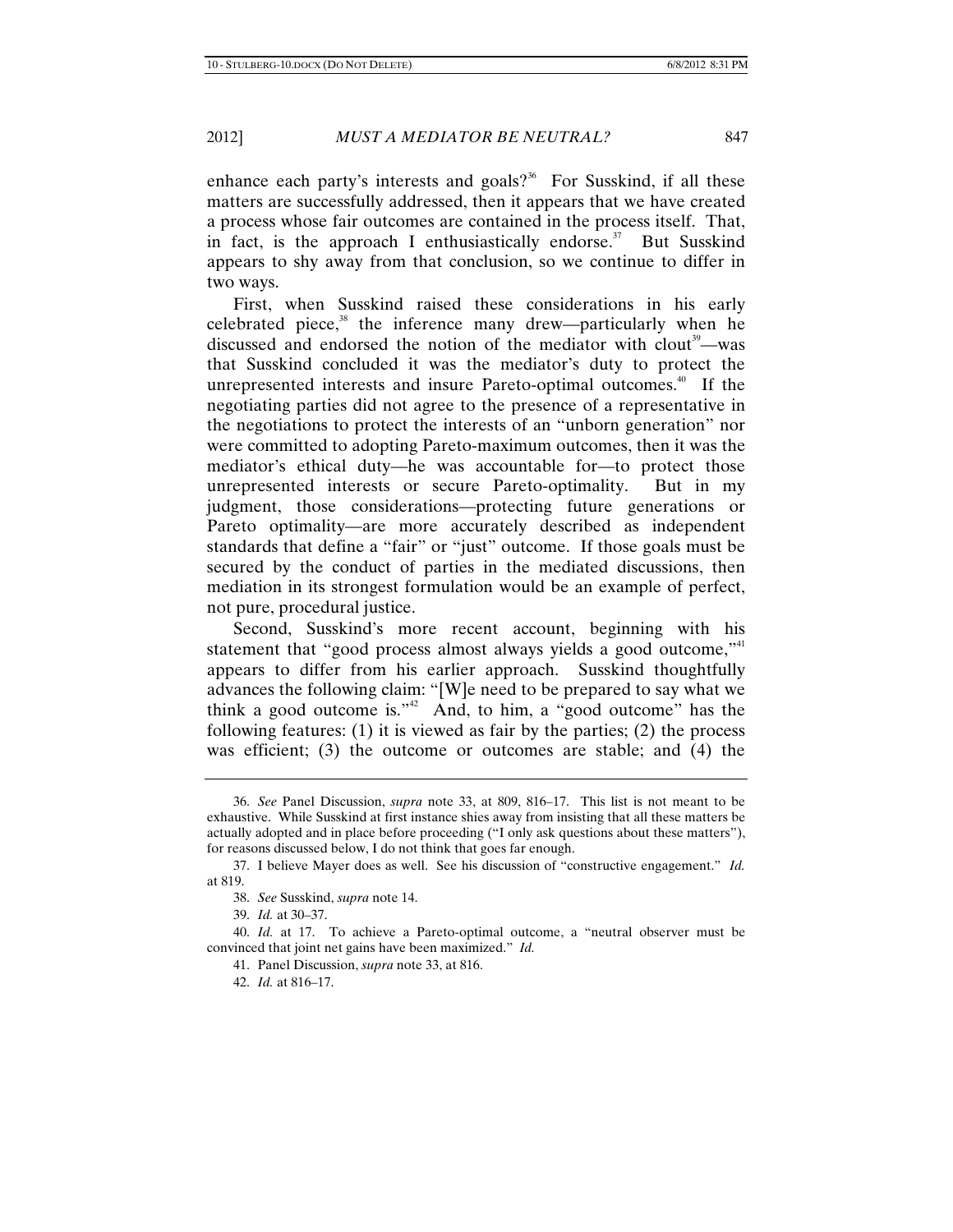enhance each party's interests and goals?<sup>36</sup> For Susskind, if all these matters are successfully addressed, then it appears that we have created a process whose fair outcomes are contained in the process itself. That, in fact, is the approach I enthusiastically endorse.<sup>37</sup> But Susskind appears to shy away from that conclusion, so we continue to differ in two ways.

First, when Susskind raised these considerations in his early celebrated piece, $38$  the inference many drew—particularly when he discussed and endorsed the notion of the mediator with clout<sup>39</sup>—was that Susskind concluded it was the mediator's duty to protect the unrepresented interests and insure Pareto-optimal outcomes.<sup>40</sup> If the negotiating parties did not agree to the presence of a representative in the negotiations to protect the interests of an "unborn generation" nor were committed to adopting Pareto-maximum outcomes, then it was the mediator's ethical duty—he was accountable for—to protect those unrepresented interests or secure Pareto-optimality. But in my judgment, those considerations—protecting future generations or Pareto optimality—are more accurately described as independent standards that define a "fair" or "just" outcome. If those goals must be secured by the conduct of parties in the mediated discussions, then mediation in its strongest formulation would be an example of perfect, not pure, procedural justice.

Second, Susskind's more recent account, beginning with his statement that "good process almost always yields a good outcome,"<sup>41</sup> appears to differ from his earlier approach. Susskind thoughtfully advances the following claim: "[W]e need to be prepared to say what we think a good outcome is." $2^2$  And, to him, a "good outcome" has the following features: (1) it is viewed as fair by the parties; (2) the process was efficient; (3) the outcome or outcomes are stable; and (4) the

<sup>36.</sup> *See* Panel Discussion, *supra* note 33, at 809, 816–17. This list is not meant to be exhaustive. While Susskind at first instance shies away from insisting that all these matters be actually adopted and in place before proceeding ("I only ask questions about these matters"), for reasons discussed below, I do not think that goes far enough.

<sup>37.</sup> I believe Mayer does as well. See his discussion of "constructive engagement." *Id.*  at 819.

<sup>38.</sup> *See* Susskind, *supra* note 14.

<sup>39.</sup> *Id.* at 30–37.

<sup>40.</sup> *Id.* at 17. To achieve a Pareto-optimal outcome, a "neutral observer must be convinced that joint net gains have been maximized." *Id.*

<sup>41.</sup> Panel Discussion, *supra* note 33, at 816.

<sup>42.</sup> *Id.* at 816–17.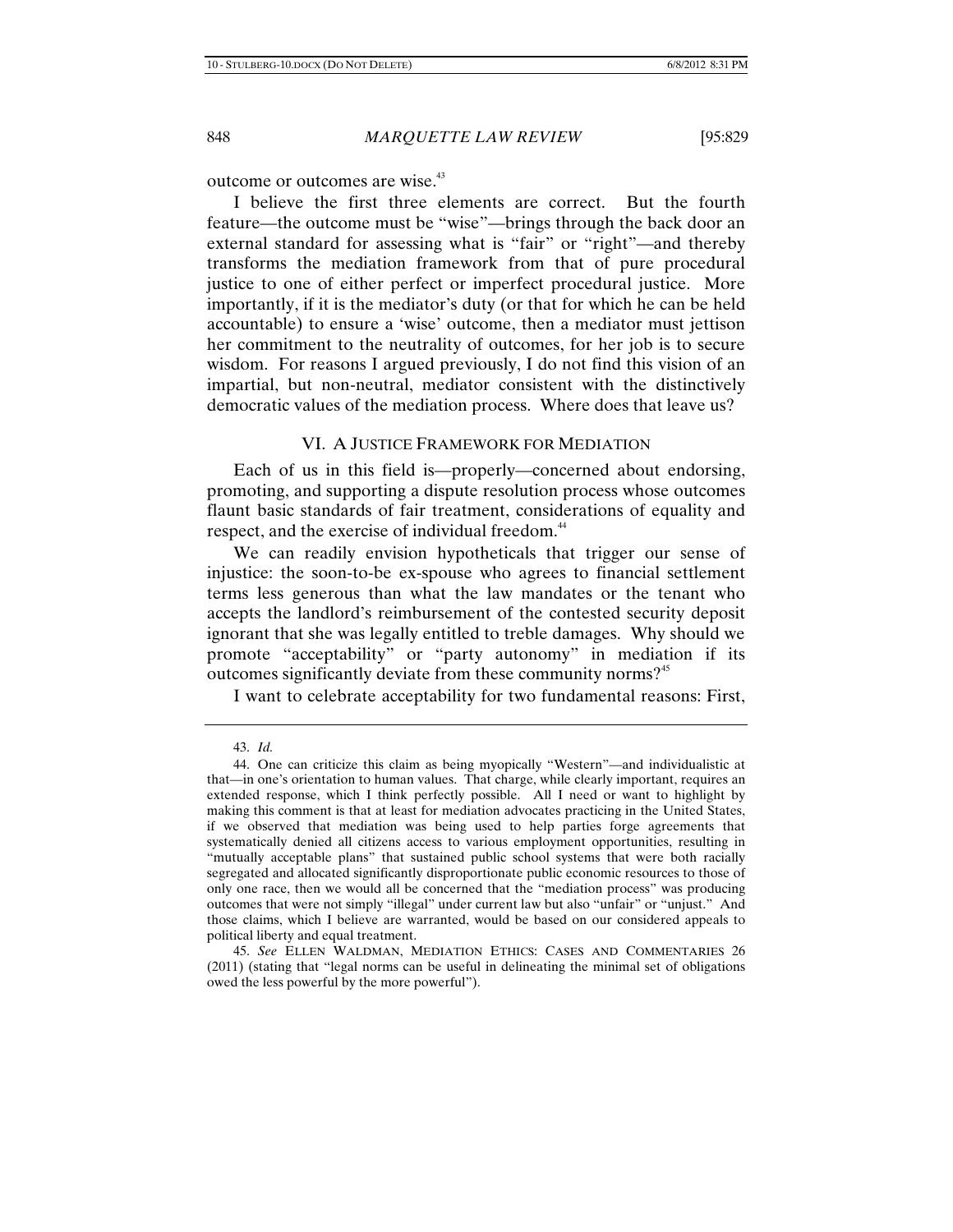outcome or outcomes are wise.<sup>43</sup>

I believe the first three elements are correct. But the fourth feature—the outcome must be "wise"—brings through the back door an external standard for assessing what is "fair" or "right"—and thereby transforms the mediation framework from that of pure procedural justice to one of either perfect or imperfect procedural justice. More importantly, if it is the mediator's duty (or that for which he can be held accountable) to ensure a 'wise' outcome, then a mediator must jettison her commitment to the neutrality of outcomes, for her job is to secure wisdom. For reasons I argued previously, I do not find this vision of an impartial, but non-neutral, mediator consistent with the distinctively democratic values of the mediation process. Where does that leave us?

### VI. A JUSTICE FRAMEWORK FOR MEDIATION

Each of us in this field is—properly—concerned about endorsing, promoting, and supporting a dispute resolution process whose outcomes flaunt basic standards of fair treatment, considerations of equality and respect, and the exercise of individual freedom.<sup>44</sup>

We can readily envision hypotheticals that trigger our sense of injustice: the soon-to-be ex-spouse who agrees to financial settlement terms less generous than what the law mandates or the tenant who accepts the landlord's reimbursement of the contested security deposit ignorant that she was legally entitled to treble damages. Why should we promote "acceptability" or "party autonomy" in mediation if its outcomes significantly deviate from these community norms?<sup>45</sup>

I want to celebrate acceptability for two fundamental reasons: First,

<sup>43.</sup> *Id.*

<sup>44.</sup> One can criticize this claim as being myopically "Western"—and individualistic at that—in one's orientation to human values. That charge, while clearly important, requires an extended response, which I think perfectly possible. All I need or want to highlight by making this comment is that at least for mediation advocates practicing in the United States, if we observed that mediation was being used to help parties forge agreements that systematically denied all citizens access to various employment opportunities, resulting in "mutually acceptable plans" that sustained public school systems that were both racially segregated and allocated significantly disproportionate public economic resources to those of only one race, then we would all be concerned that the "mediation process" was producing outcomes that were not simply "illegal" under current law but also "unfair" or "unjust." And those claims, which I believe are warranted, would be based on our considered appeals to political liberty and equal treatment.

<sup>45.</sup> *See* ELLEN WALDMAN, MEDIATION ETHICS: CASES AND COMMENTARIES 26 (2011) (stating that "legal norms can be useful in delineating the minimal set of obligations owed the less powerful by the more powerful").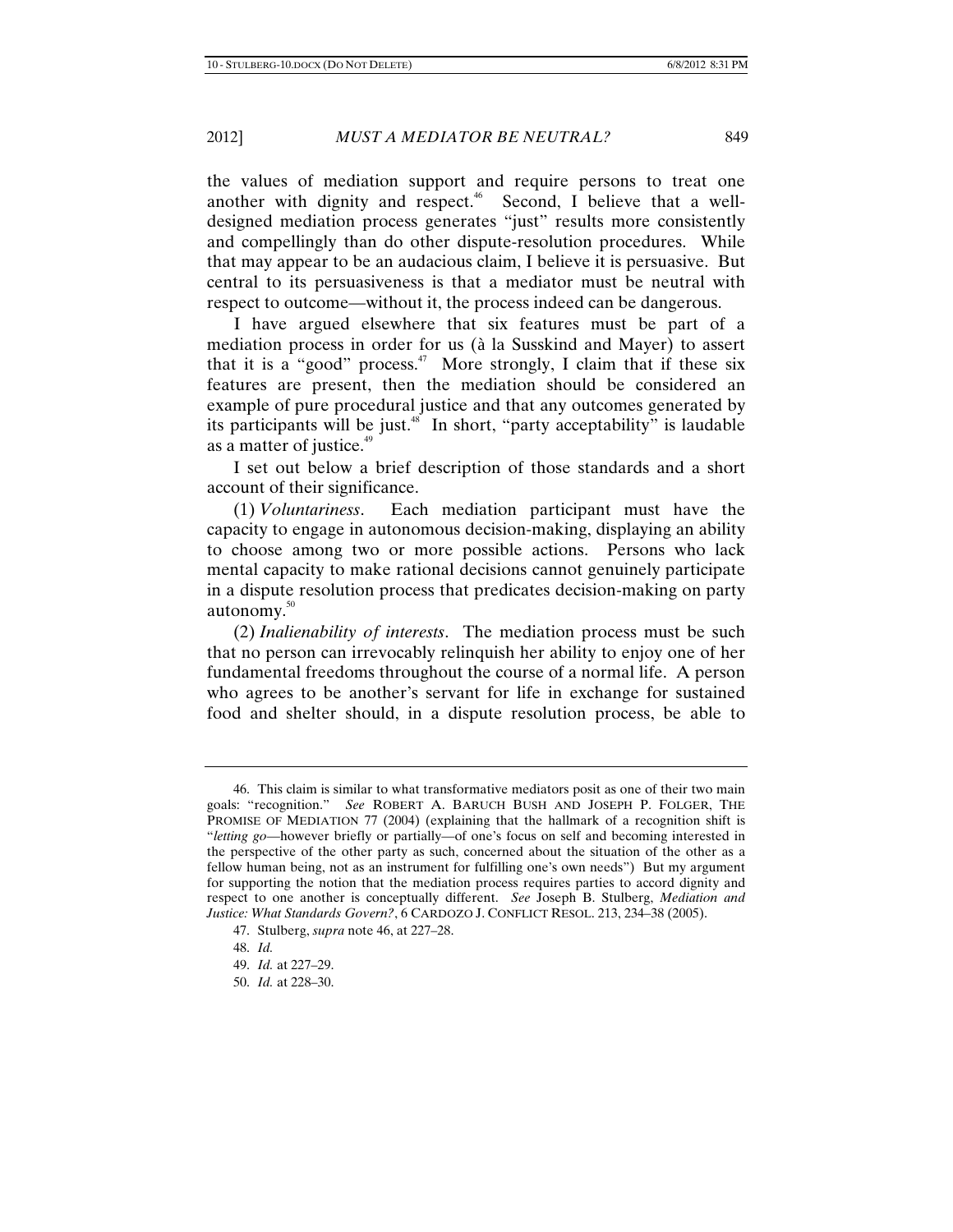the values of mediation support and require persons to treat one another with dignity and respect.<sup> $46$ </sup> Second, I believe that a welldesigned mediation process generates "just" results more consistently and compellingly than do other dispute-resolution procedures. While that may appear to be an audacious claim, I believe it is persuasive. But central to its persuasiveness is that a mediator must be neutral with respect to outcome—without it, the process indeed can be dangerous.

I have argued elsewhere that six features must be part of a mediation process in order for us (à la Susskind and Mayer) to assert that it is a "good" process.<sup>47</sup> More strongly, I claim that if these six features are present, then the mediation should be considered an example of pure procedural justice and that any outcomes generated by its participants will be just.<sup>48</sup> In short, "party acceptability" is laudable as a matter of justice.<sup>49</sup>

I set out below a brief description of those standards and a short account of their significance.

(1) *Voluntariness*. Each mediation participant must have the capacity to engage in autonomous decision-making, displaying an ability to choose among two or more possible actions. Persons who lack mental capacity to make rational decisions cannot genuinely participate in a dispute resolution process that predicates decision-making on party autonomy.<sup>50</sup>

(2) *Inalienability of interests*. The mediation process must be such that no person can irrevocably relinquish her ability to enjoy one of her fundamental freedoms throughout the course of a normal life. A person who agrees to be another's servant for life in exchange for sustained food and shelter should, in a dispute resolution process, be able to

<sup>46.</sup> This claim is similar to what transformative mediators posit as one of their two main goals: "recognition." *See* ROBERT A. BARUCH BUSH AND JOSEPH P. FOLGER, THE PROMISE OF MEDIATION 77 (2004) (explaining that the hallmark of a recognition shift is "*letting go*—however briefly or partially—of one's focus on self and becoming interested in the perspective of the other party as such, concerned about the situation of the other as a fellow human being, not as an instrument for fulfilling one's own needs") But my argument for supporting the notion that the mediation process requires parties to accord dignity and respect to one another is conceptually different. *See* Joseph B. Stulberg, *Mediation and Justice: What Standards Govern?*, 6 CARDOZO J. CONFLICT RESOL. 213, 234–38 (2005).

<sup>47.</sup> Stulberg, *supra* note 46, at 227–28.

<sup>48.</sup> *Id.*

<sup>49.</sup> *Id.* at 227–29.

<sup>50.</sup> *Id.* at 228–30.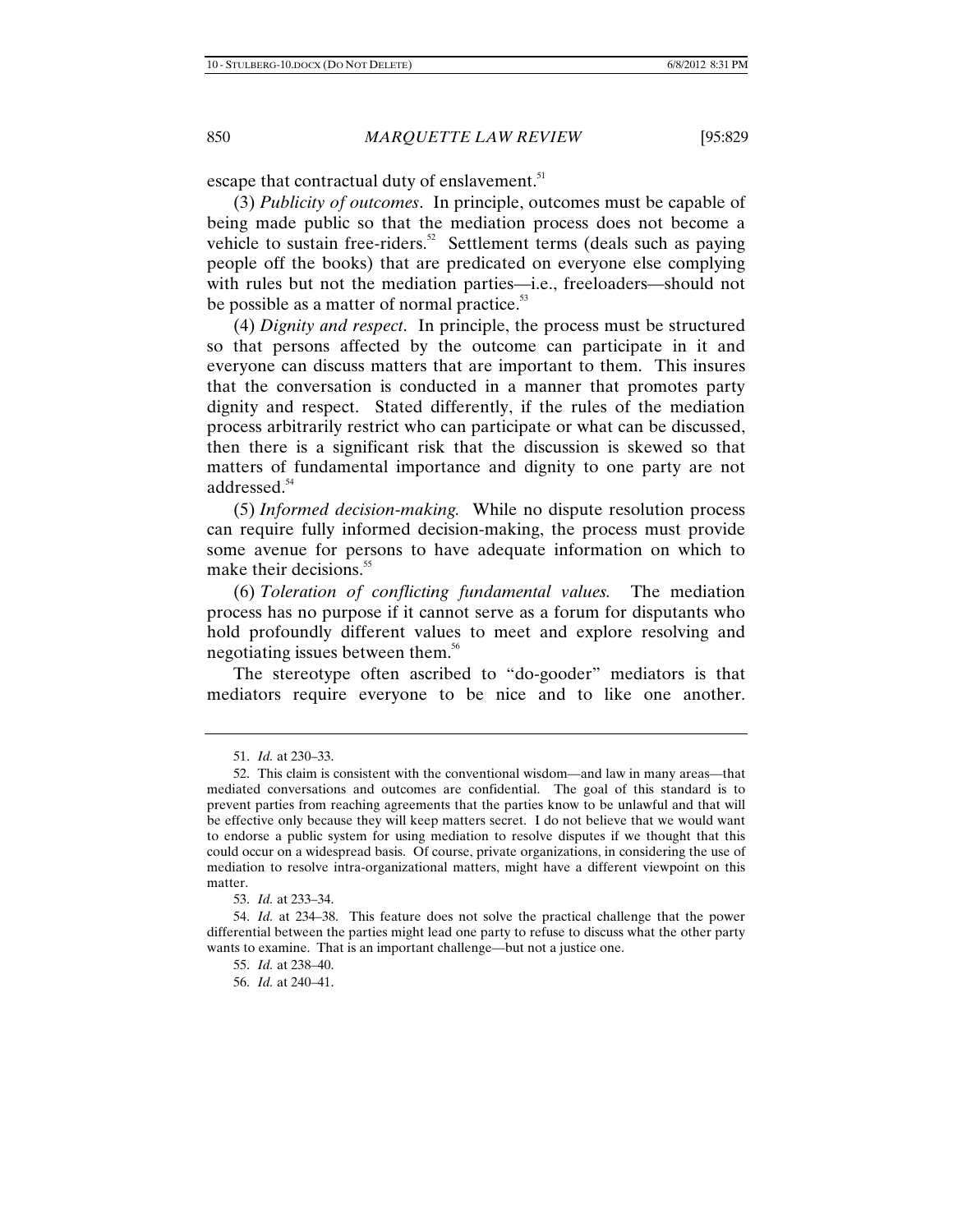escape that contractual duty of enslavement.<sup>51</sup>

(3) *Publicity of outcomes*. In principle, outcomes must be capable of being made public so that the mediation process does not become a vehicle to sustain free-riders.<sup>52</sup> Settlement terms (deals such as paying people off the books) that are predicated on everyone else complying with rules but not the mediation parties—i.e., freeloaders—should not be possible as a matter of normal practice.<sup>53</sup>

(4) *Dignity and respect*. In principle, the process must be structured so that persons affected by the outcome can participate in it and everyone can discuss matters that are important to them. This insures that the conversation is conducted in a manner that promotes party dignity and respect. Stated differently, if the rules of the mediation process arbitrarily restrict who can participate or what can be discussed, then there is a significant risk that the discussion is skewed so that matters of fundamental importance and dignity to one party are not addressed.<sup>54</sup>

(5) *Informed decision*-*making.* While no dispute resolution process can require fully informed decision-making, the process must provide some avenue for persons to have adequate information on which to make their decisions.<sup>55</sup>

(6) *Toleration of conflicting fundamental values.* The mediation process has no purpose if it cannot serve as a forum for disputants who hold profoundly different values to meet and explore resolving and negotiating issues between them.56

The stereotype often ascribed to "do-gooder" mediators is that mediators require everyone to be nice and to like one another.

<sup>51.</sup> *Id.* at 230–33.

<sup>52.</sup> This claim is consistent with the conventional wisdom—and law in many areas—that mediated conversations and outcomes are confidential. The goal of this standard is to prevent parties from reaching agreements that the parties know to be unlawful and that will be effective only because they will keep matters secret. I do not believe that we would want to endorse a public system for using mediation to resolve disputes if we thought that this could occur on a widespread basis. Of course, private organizations, in considering the use of mediation to resolve intra-organizational matters, might have a different viewpoint on this matter.

<sup>53.</sup> *Id.* at 233–34.

<sup>54.</sup> *Id.* at 234–38. This feature does not solve the practical challenge that the power differential between the parties might lead one party to refuse to discuss what the other party wants to examine. That is an important challenge—but not a justice one.

<sup>55.</sup> *Id.* at 238–40.

<sup>56.</sup> *Id.* at 240–41.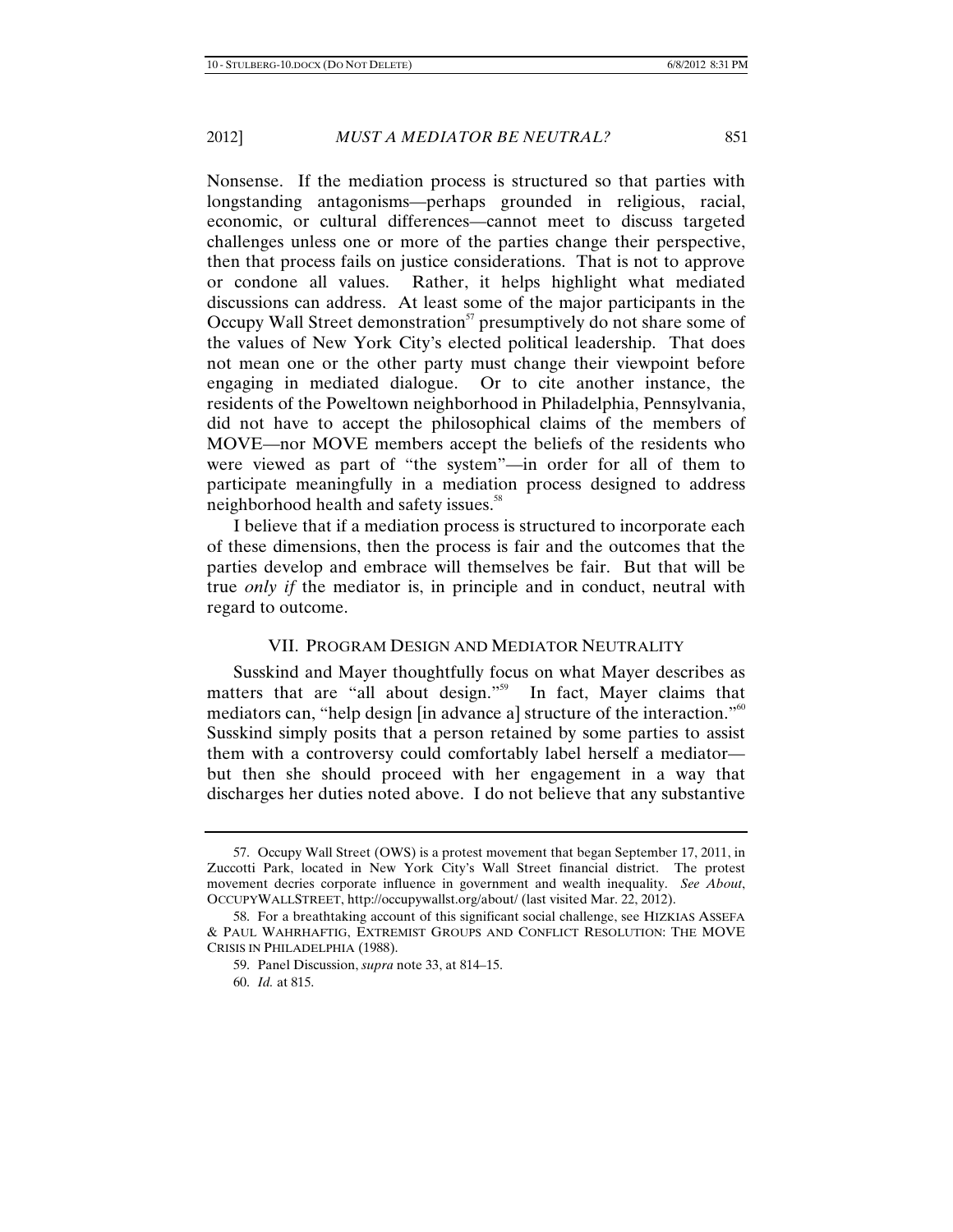Nonsense. If the mediation process is structured so that parties with longstanding antagonisms—perhaps grounded in religious, racial, economic, or cultural differences—cannot meet to discuss targeted challenges unless one or more of the parties change their perspective, then that process fails on justice considerations. That is not to approve or condone all values. Rather, it helps highlight what mediated discussions can address. At least some of the major participants in the Occupy Wall Street demonstration $57$  presumptively do not share some of the values of New York City's elected political leadership. That does not mean one or the other party must change their viewpoint before engaging in mediated dialogue. Or to cite another instance, the residents of the Poweltown neighborhood in Philadelphia, Pennsylvania, did not have to accept the philosophical claims of the members of MOVE—nor MOVE members accept the beliefs of the residents who were viewed as part of "the system"—in order for all of them to participate meaningfully in a mediation process designed to address neighborhood health and safety issues.<sup>58</sup>

I believe that if a mediation process is structured to incorporate each of these dimensions, then the process is fair and the outcomes that the parties develop and embrace will themselves be fair. But that will be true *only if* the mediator is, in principle and in conduct, neutral with regard to outcome.

### VII. PROGRAM DESIGN AND MEDIATOR NEUTRALITY

Susskind and Mayer thoughtfully focus on what Mayer describes as matters that are "all about design."<sup>59</sup> In fact, Mayer claims that mediators can, "help design [in advance a] structure of the interaction."<sup>60</sup> Susskind simply posits that a person retained by some parties to assist them with a controversy could comfortably label herself a mediator but then she should proceed with her engagement in a way that discharges her duties noted above. I do not believe that any substantive

<sup>57.</sup> Occupy Wall Street (OWS) is a protest movement that began September 17, 2011, in Zuccotti Park, located in New York City's Wall Street financial district. The protest movement decries corporate influence in government and wealth inequality. *See About*, OCCUPYWALLSTREET, http://occupywallst.org/about/ (last visited Mar. 22, 2012).

<sup>58.</sup> For a breathtaking account of this significant social challenge, see HIZKIAS ASSEFA & PAUL WAHRHAFTIG, EXTREMIST GROUPS AND CONFLICT RESOLUTION: THE MOVE CRISIS IN PHILADELPHIA (1988).

<sup>59.</sup> Panel Discussion, *supra* note 33, at 814–15.

<sup>60.</sup> *Id.* at 815.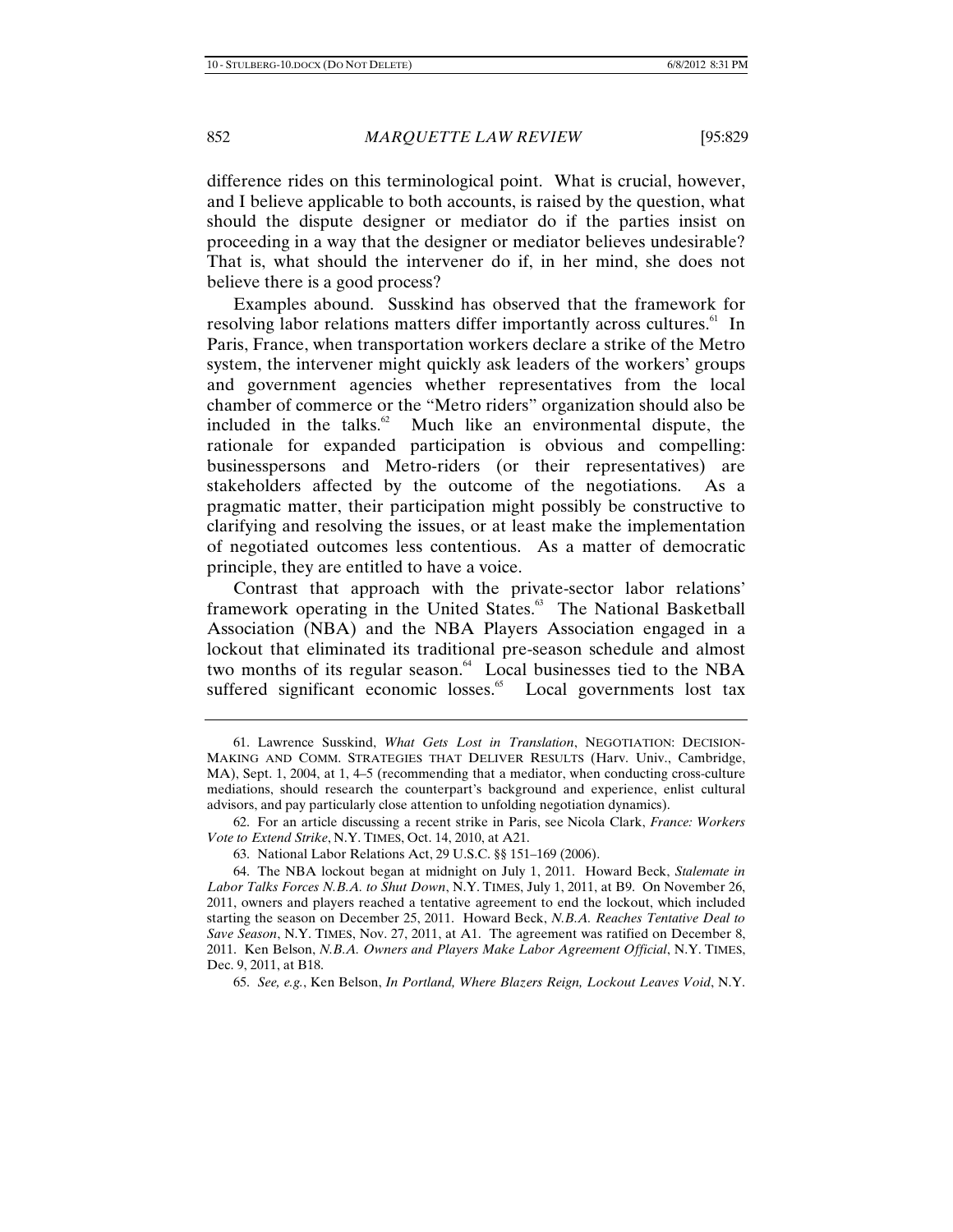difference rides on this terminological point. What is crucial, however, and I believe applicable to both accounts, is raised by the question, what should the dispute designer or mediator do if the parties insist on proceeding in a way that the designer or mediator believes undesirable? That is, what should the intervener do if, in her mind, she does not believe there is a good process?

Examples abound. Susskind has observed that the framework for resolving labor relations matters differ importantly across cultures.<sup>61</sup> In Paris, France, when transportation workers declare a strike of the Metro system, the intervener might quickly ask leaders of the workers' groups and government agencies whether representatives from the local chamber of commerce or the "Metro riders" organization should also be included in the talks. $62$  Much like an environmental dispute, the rationale for expanded participation is obvious and compelling: businesspersons and Metro-riders (or their representatives) are stakeholders affected by the outcome of the negotiations. As a pragmatic matter, their participation might possibly be constructive to clarifying and resolving the issues, or at least make the implementation of negotiated outcomes less contentious. As a matter of democratic principle, they are entitled to have a voice.

Contrast that approach with the private-sector labor relations' framework operating in the United States.<sup>63</sup> The National Basketball Association (NBA) and the NBA Players Association engaged in a lockout that eliminated its traditional pre-season schedule and almost two months of its regular season.<sup>64</sup> Local businesses tied to the NBA suffered significant economic losses.<sup>65</sup> Local governments lost tax

<sup>61.</sup> Lawrence Susskind, *What Gets Lost in Translation*, NEGOTIATION: DECISION-MAKING AND COMM. STRATEGIES THAT DELIVER RESULTS (Harv. Univ., Cambridge, MA), Sept. 1, 2004, at 1, 4–5 (recommending that a mediator, when conducting cross-culture mediations, should research the counterpart's background and experience, enlist cultural advisors, and pay particularly close attention to unfolding negotiation dynamics).

<sup>62.</sup> For an article discussing a recent strike in Paris, see Nicola Clark, *France: Workers Vote to Extend Strike*, N.Y. TIMES, Oct. 14, 2010, at A21.

<sup>63.</sup> National Labor Relations Act, 29 U.S.C. §§ 151–169 (2006).

<sup>64.</sup> The NBA lockout began at midnight on July 1, 2011. Howard Beck, *Stalemate in Labor Talks Forces N.B.A. to Shut Down*, N.Y. TIMES, July 1, 2011, at B9. On November 26, 2011, owners and players reached a tentative agreement to end the lockout, which included starting the season on December 25, 2011. Howard Beck, *N.B.A. Reaches Tentative Deal to Save Season*, N.Y. TIMES, Nov. 27, 2011, at A1. The agreement was ratified on December 8, 2011. Ken Belson, *N.B.A. Owners and Players Make Labor Agreement Official*, N.Y. TIMES, Dec. 9, 2011, at B18.

<sup>65.</sup> *See, e.g.*, Ken Belson, *In Portland, Where Blazers Reign, Lockout Leaves Void*, N.Y.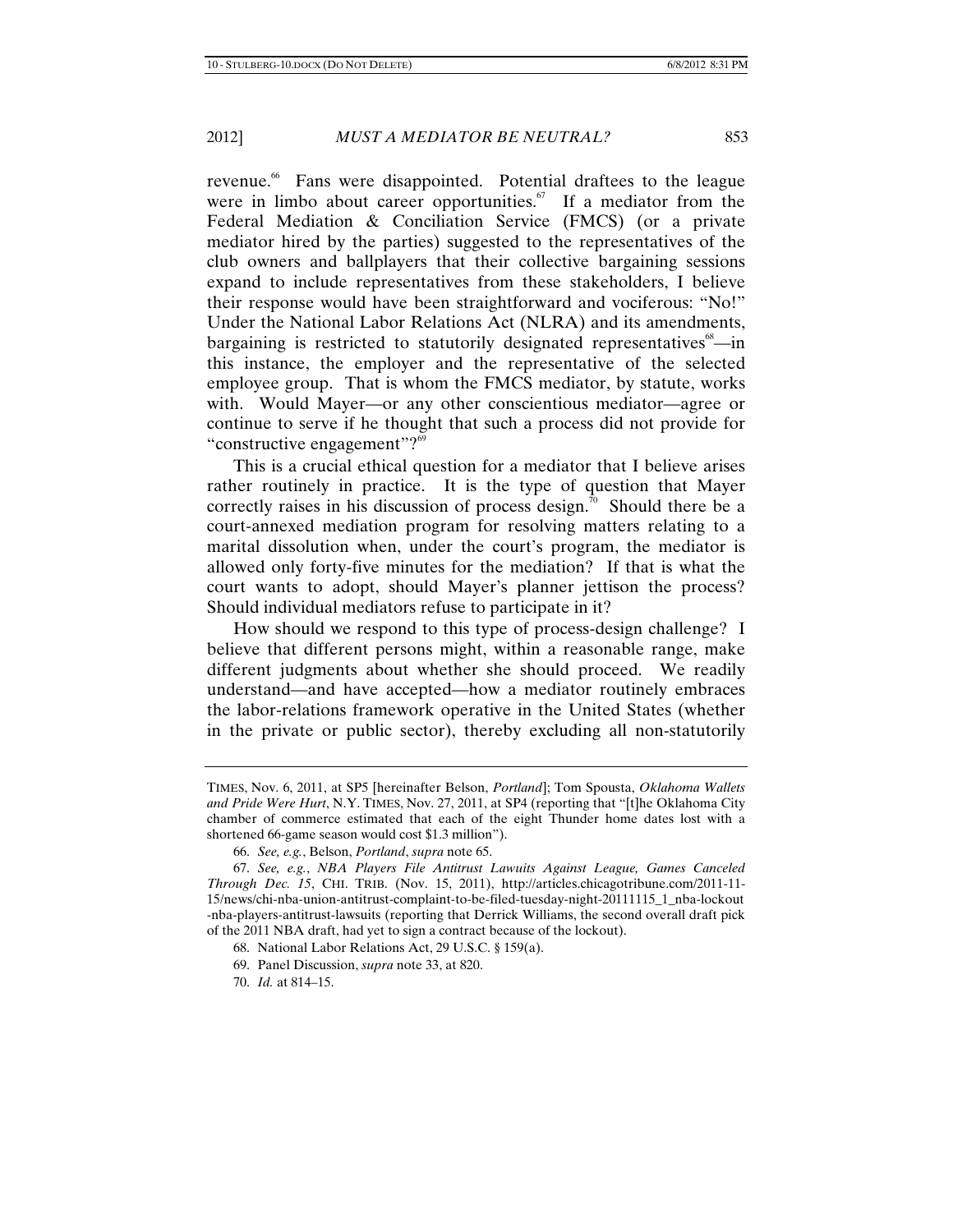revenue.<sup>66</sup> Fans were disappointed. Potential draftees to the league were in limbo about career opportunities.<sup>67</sup> If a mediator from the Federal Mediation & Conciliation Service (FMCS) (or a private mediator hired by the parties) suggested to the representatives of the club owners and ballplayers that their collective bargaining sessions expand to include representatives from these stakeholders, I believe their response would have been straightforward and vociferous: "No!" Under the National Labor Relations Act (NLRA) and its amendments, bargaining is restricted to statutorily designated representatives $\delta^8$ —in this instance, the employer and the representative of the selected employee group. That is whom the FMCS mediator, by statute, works with. Would Mayer—or any other conscientious mediator—agree or continue to serve if he thought that such a process did not provide for "constructive engagement"?<sup>69</sup>

This is a crucial ethical question for a mediator that I believe arises rather routinely in practice. It is the type of question that Mayer correctly raises in his discussion of process design.<sup>70</sup> Should there be a court-annexed mediation program for resolving matters relating to a marital dissolution when, under the court's program, the mediator is allowed only forty-five minutes for the mediation? If that is what the court wants to adopt, should Mayer's planner jettison the process? Should individual mediators refuse to participate in it?

How should we respond to this type of process-design challenge? I believe that different persons might, within a reasonable range, make different judgments about whether she should proceed. We readily understand—and have accepted—how a mediator routinely embraces the labor-relations framework operative in the United States (whether in the private or public sector), thereby excluding all non-statutorily

TIMES, Nov. 6, 2011, at SP5 [hereinafter Belson, *Portland*]; Tom Spousta, *Oklahoma Wallets and Pride Were Hurt*, N.Y. TIMES, Nov. 27, 2011, at SP4 (reporting that "[t]he Oklahoma City chamber of commerce estimated that each of the eight Thunder home dates lost with a shortened 66-game season would cost \$1.3 million").

<sup>66.</sup> *See, e.g.*, Belson, *Portland*, *supra* note 65.

<sup>67.</sup> *See, e.g.*, *NBA Players File Antitrust Lawuits Against League, Games Canceled Through Dec. 15*, CHI. TRIB. (Nov. 15, 2011), http://articles.chicagotribune.com/2011-11- 15/news/chi-nba-union-antitrust-complaint-to-be-filed-tuesday-night-20111115\_1\_nba-lockout -nba-players-antitrust-lawsuits (reporting that Derrick Williams, the second overall draft pick of the 2011 NBA draft, had yet to sign a contract because of the lockout).

<sup>68.</sup> National Labor Relations Act, 29 U.S.C. § 159(a).

<sup>69.</sup> Panel Discussion, *supra* note 33, at 820.

<sup>70.</sup> *Id.* at 814–15.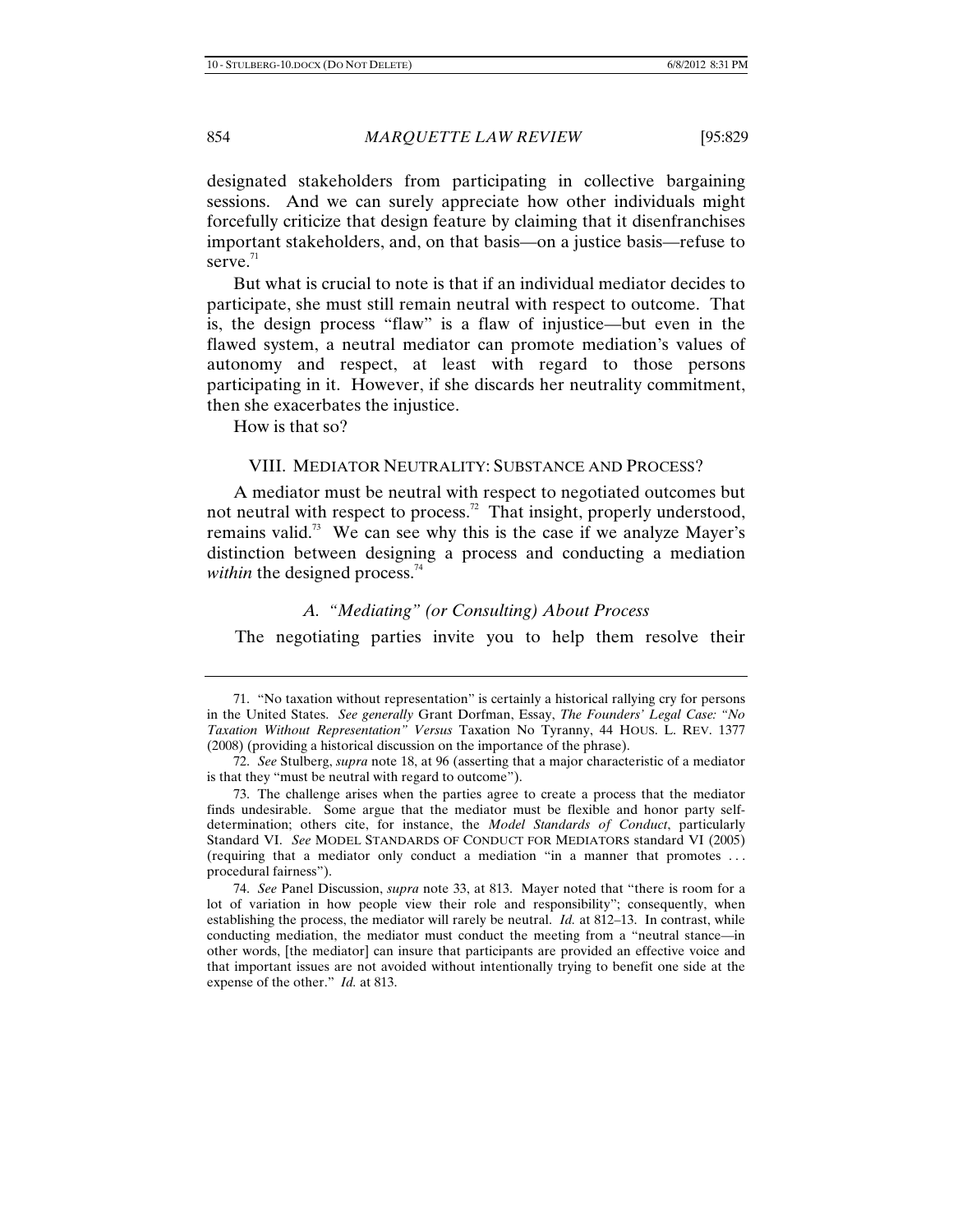designated stakeholders from participating in collective bargaining sessions. And we can surely appreciate how other individuals might forcefully criticize that design feature by claiming that it disenfranchises important stakeholders, and, on that basis—on a justice basis—refuse to serve. $71$ 

But what is crucial to note is that if an individual mediator decides to participate, she must still remain neutral with respect to outcome. That is, the design process "flaw" is a flaw of injustice—but even in the flawed system, a neutral mediator can promote mediation's values of autonomy and respect, at least with regard to those persons participating in it. However, if she discards her neutrality commitment, then she exacerbates the injustice.

How is that so?

### VIII. MEDIATOR NEUTRALITY: SUBSTANCE AND PROCESS?

A mediator must be neutral with respect to negotiated outcomes but not neutral with respect to process.<sup>72</sup> That insight, properly understood, remains valid.<sup>73</sup> We can see why this is the case if we analyze Mayer's distinction between designing a process and conducting a mediation *within* the designed process.<sup>74</sup>

### *A. "Mediating" (or Consulting) About Process*

The negotiating parties invite you to help them resolve their

<sup>71. &</sup>quot;No taxation without representation" is certainly a historical rallying cry for persons in the United States. *See generally* Grant Dorfman, Essay, *The Founders' Legal Case: "No Taxation Without Representation" Versus* Taxation No Tyranny, 44 HOUS. L. REV. 1377 (2008) (providing a historical discussion on the importance of the phrase).

<sup>72.</sup> *See* Stulberg, *supra* note 18, at 96 (asserting that a major characteristic of a mediator is that they "must be neutral with regard to outcome").

<sup>73.</sup> The challenge arises when the parties agree to create a process that the mediator finds undesirable. Some argue that the mediator must be flexible and honor party selfdetermination; others cite, for instance, the *Model Standards of Conduct*, particularly Standard VI. *See* MODEL STANDARDS OF CONDUCT FOR MEDIATORS standard VI (2005) (requiring that a mediator only conduct a mediation "in a manner that promotes . . . procedural fairness").

<sup>74.</sup> *See* Panel Discussion, *supra* note 33, at 813. Mayer noted that "there is room for a lot of variation in how people view their role and responsibility"; consequently, when establishing the process, the mediator will rarely be neutral. *Id.* at 812–13. In contrast, while conducting mediation, the mediator must conduct the meeting from a "neutral stance—in other words, [the mediator] can insure that participants are provided an effective voice and that important issues are not avoided without intentionally trying to benefit one side at the expense of the other." *Id.* at 813.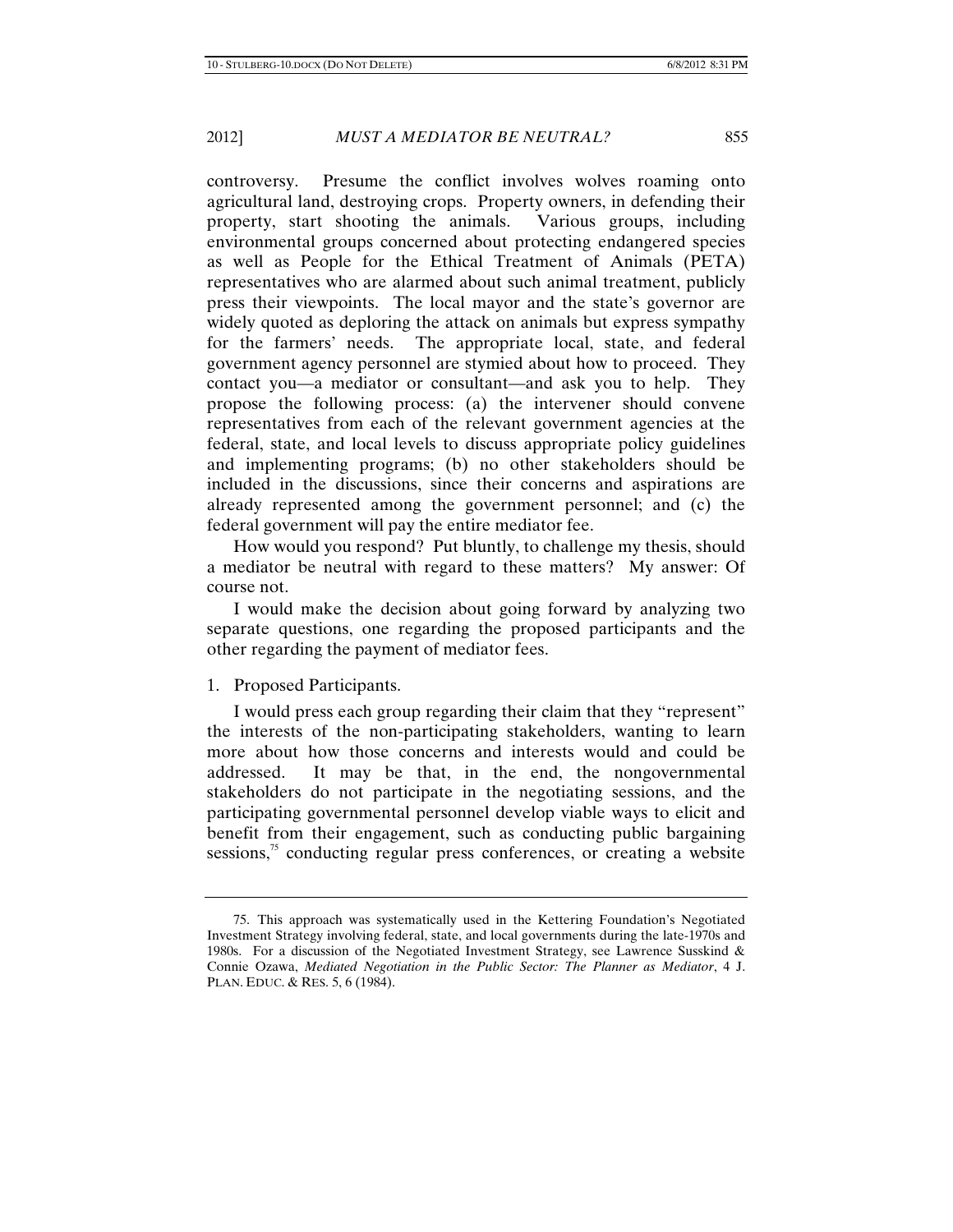controversy. Presume the conflict involves wolves roaming onto agricultural land, destroying crops. Property owners, in defending their property, start shooting the animals. Various groups, including environmental groups concerned about protecting endangered species as well as People for the Ethical Treatment of Animals (PETA) representatives who are alarmed about such animal treatment, publicly press their viewpoints. The local mayor and the state's governor are widely quoted as deploring the attack on animals but express sympathy for the farmers' needs. The appropriate local, state, and federal government agency personnel are stymied about how to proceed. They contact you—a mediator or consultant—and ask you to help. They propose the following process: (a) the intervener should convene representatives from each of the relevant government agencies at the federal, state, and local levels to discuss appropriate policy guidelines and implementing programs; (b) no other stakeholders should be included in the discussions, since their concerns and aspirations are already represented among the government personnel; and (c) the federal government will pay the entire mediator fee.

How would you respond? Put bluntly, to challenge my thesis, should a mediator be neutral with regard to these matters? My answer: Of course not.

I would make the decision about going forward by analyzing two separate questions, one regarding the proposed participants and the other regarding the payment of mediator fees.

### 1. Proposed Participants.

I would press each group regarding their claim that they "represent" the interests of the non-participating stakeholders, wanting to learn more about how those concerns and interests would and could be addressed. It may be that, in the end, the nongovernmental stakeholders do not participate in the negotiating sessions, and the participating governmental personnel develop viable ways to elicit and benefit from their engagement, such as conducting public bargaining sessions, $\frac{75}{10}$  conducting regular press conferences, or creating a website

<sup>75.</sup> This approach was systematically used in the Kettering Foundation's Negotiated Investment Strategy involving federal, state, and local governments during the late-1970s and 1980s. For a discussion of the Negotiated Investment Strategy, see Lawrence Susskind & Connie Ozawa, *Mediated Negotiation in the Public Sector: The Planner as Mediator*, 4 J. PLAN. EDUC. & RES. 5, 6 (1984).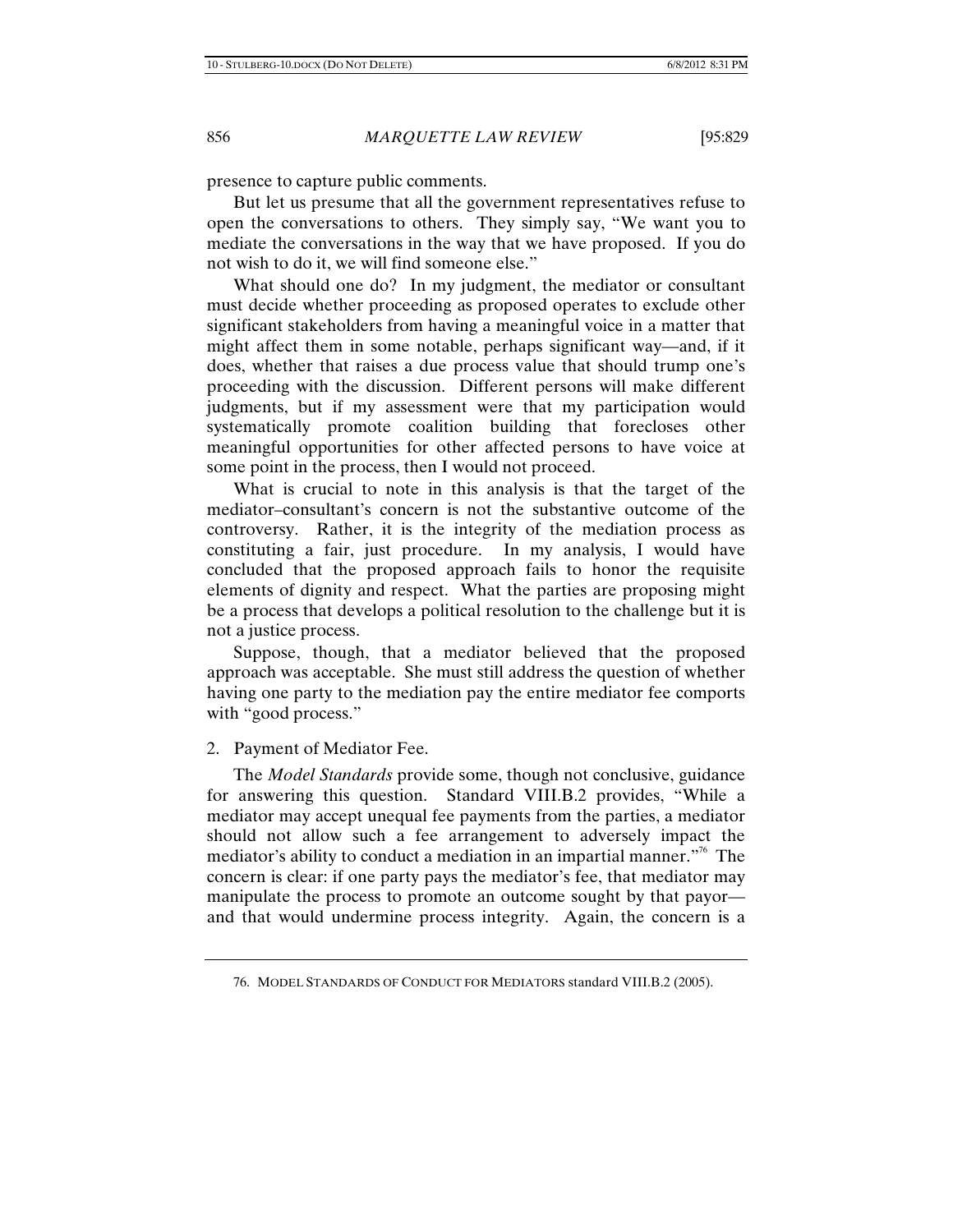presence to capture public comments.

But let us presume that all the government representatives refuse to open the conversations to others. They simply say, "We want you to mediate the conversations in the way that we have proposed. If you do not wish to do it, we will find someone else."

What should one do? In my judgment, the mediator or consultant must decide whether proceeding as proposed operates to exclude other significant stakeholders from having a meaningful voice in a matter that might affect them in some notable, perhaps significant way—and, if it does, whether that raises a due process value that should trump one's proceeding with the discussion. Different persons will make different judgments, but if my assessment were that my participation would systematically promote coalition building that forecloses other meaningful opportunities for other affected persons to have voice at some point in the process, then I would not proceed.

What is crucial to note in this analysis is that the target of the mediator–consultant's concern is not the substantive outcome of the controversy. Rather, it is the integrity of the mediation process as constituting a fair, just procedure. In my analysis, I would have concluded that the proposed approach fails to honor the requisite elements of dignity and respect. What the parties are proposing might be a process that develops a political resolution to the challenge but it is not a justice process.

Suppose, though, that a mediator believed that the proposed approach was acceptable. She must still address the question of whether having one party to the mediation pay the entire mediator fee comports with "good process."

### 2. Payment of Mediator Fee.

The *Model Standards* provide some, though not conclusive, guidance for answering this question. Standard VIII.B.2 provides, "While a mediator may accept unequal fee payments from the parties, a mediator should not allow such a fee arrangement to adversely impact the mediator's ability to conduct a mediation in an impartial manner."76 The concern is clear: if one party pays the mediator's fee, that mediator may manipulate the process to promote an outcome sought by that payor and that would undermine process integrity. Again, the concern is a

<sup>76.</sup> MODEL STANDARDS OF CONDUCT FOR MEDIATORS standard VIII.B.2 (2005).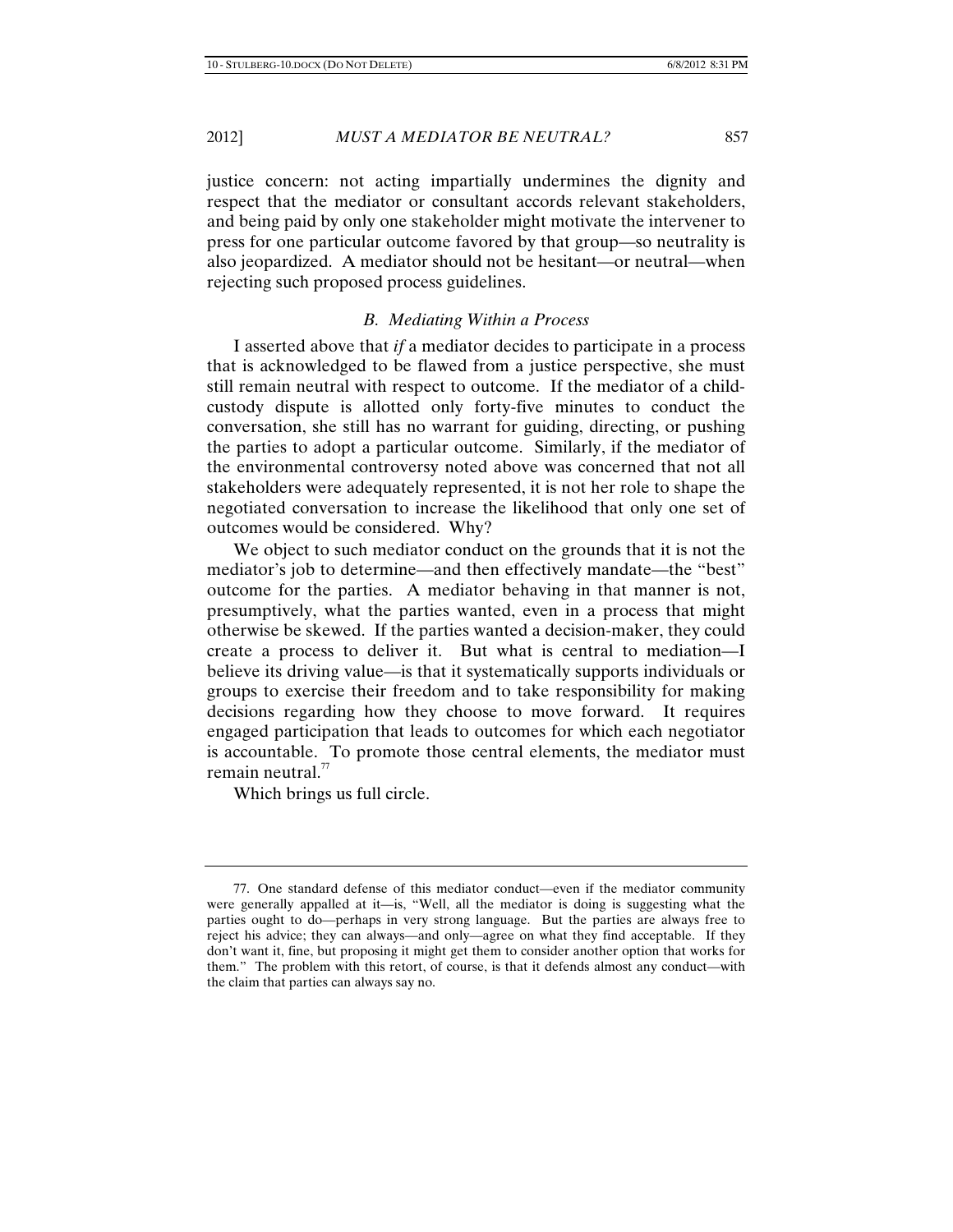justice concern: not acting impartially undermines the dignity and respect that the mediator or consultant accords relevant stakeholders, and being paid by only one stakeholder might motivate the intervener to press for one particular outcome favored by that group—so neutrality is also jeopardized. A mediator should not be hesitant—or neutral—when rejecting such proposed process guidelines.

### *B. Mediating Within a Process*

I asserted above that *if* a mediator decides to participate in a process that is acknowledged to be flawed from a justice perspective, she must still remain neutral with respect to outcome. If the mediator of a childcustody dispute is allotted only forty-five minutes to conduct the conversation, she still has no warrant for guiding, directing, or pushing the parties to adopt a particular outcome. Similarly, if the mediator of the environmental controversy noted above was concerned that not all stakeholders were adequately represented, it is not her role to shape the negotiated conversation to increase the likelihood that only one set of outcomes would be considered. Why?

We object to such mediator conduct on the grounds that it is not the mediator's job to determine—and then effectively mandate—the "best" outcome for the parties. A mediator behaving in that manner is not, presumptively, what the parties wanted, even in a process that might otherwise be skewed. If the parties wanted a decision-maker, they could create a process to deliver it. But what is central to mediation—I believe its driving value—is that it systematically supports individuals or groups to exercise their freedom and to take responsibility for making decisions regarding how they choose to move forward. It requires engaged participation that leads to outcomes for which each negotiator is accountable. To promote those central elements, the mediator must remain neutral. $77$ 

Which brings us full circle.

<sup>77.</sup> One standard defense of this mediator conduct—even if the mediator community were generally appalled at it—is, "Well, all the mediator is doing is suggesting what the parties ought to do—perhaps in very strong language. But the parties are always free to reject his advice; they can always—and only—agree on what they find acceptable. If they don't want it, fine, but proposing it might get them to consider another option that works for them." The problem with this retort, of course, is that it defends almost any conduct—with the claim that parties can always say no.